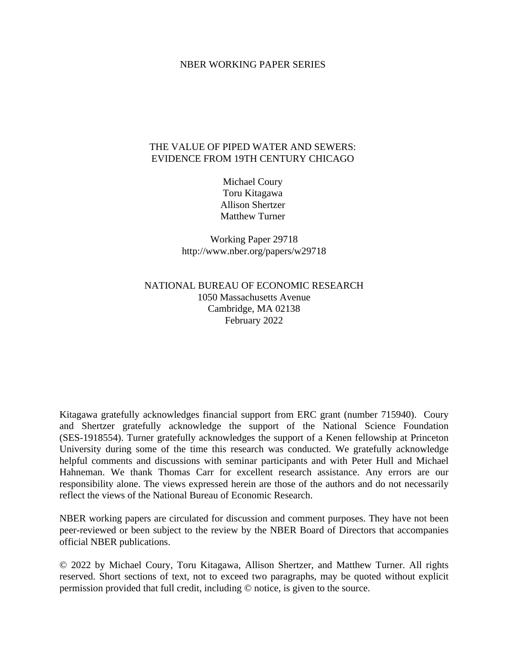#### NBER WORKING PAPER SERIES

#### THE VALUE OF PIPED WATER AND SEWERS: EVIDENCE FROM 19TH CENTURY CHICAGO

Michael Coury Toru Kitagawa Allison Shertzer Matthew Turner

Working Paper 29718 http://www.nber.org/papers/w29718

# NATIONAL BUREAU OF ECONOMIC RESEARCH 1050 Massachusetts Avenue Cambridge, MA 02138 February 2022

Kitagawa gratefully acknowledges financial support from ERC grant (number 715940). Coury and Shertzer gratefully acknowledge the support of the National Science Foundation (SES-1918554). Turner gratefully acknowledges the support of a Kenen fellowship at Princeton University during some of the time this research was conducted. We gratefully acknowledge helpful comments and discussions with seminar participants and with Peter Hull and Michael Hahneman. We thank Thomas Carr for excellent research assistance. Any errors are our responsibility alone. The views expressed herein are those of the authors and do not necessarily reflect the views of the National Bureau of Economic Research.

NBER working papers are circulated for discussion and comment purposes. They have not been peer-reviewed or been subject to the review by the NBER Board of Directors that accompanies official NBER publications.

© 2022 by Michael Coury, Toru Kitagawa, Allison Shertzer, and Matthew Turner. All rights reserved. Short sections of text, not to exceed two paragraphs, may be quoted without explicit permission provided that full credit, including © notice, is given to the source.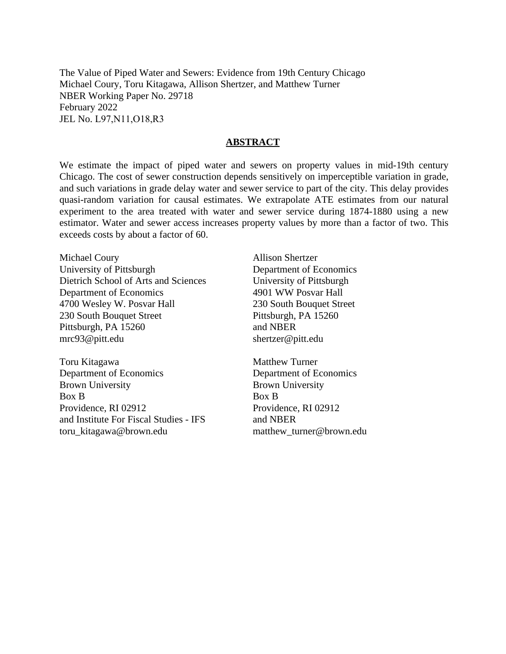The Value of Piped Water and Sewers: Evidence from 19th Century Chicago Michael Coury, Toru Kitagawa, Allison Shertzer, and Matthew Turner NBER Working Paper No. 29718 February 2022 JEL No. L97,N11,O18,R3

#### **ABSTRACT**

We estimate the impact of piped water and sewers on property values in mid-19th century Chicago. The cost of sewer construction depends sensitively on imperceptible variation in grade, and such variations in grade delay water and sewer service to part of the city. This delay provides quasi-random variation for causal estimates. We extrapolate ATE estimates from our natural experiment to the area treated with water and sewer service during 1874-1880 using a new estimator. Water and sewer access increases property values by more than a factor of two. This exceeds costs by about a factor of 60.

Michael Coury University of Pittsburgh Dietrich School of Arts and Sciences Department of Economics 4700 Wesley W. Posvar Hall 230 South Bouquet Street Pittsburgh, PA 15260 mrc93@pitt.edu

Toru Kitagawa Department of Economics Brown University Box B Providence, RI 02912 and Institute For Fiscal Studies - IFS toru\_kitagawa@brown.edu

Allison Shertzer Department of Economics University of Pittsburgh 4901 WW Posvar Hall 230 South Bouquet Street Pittsburgh, PA 15260 and NBER shertzer@pitt.edu

Matthew Turner Department of Economics Brown University Box B Providence, RI 02912 and NBER matthew turner@brown.edu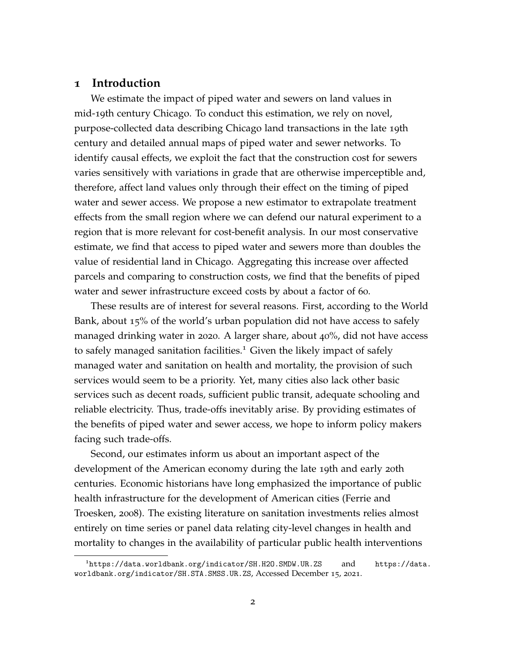## **1 Introduction**

We estimate the impact of piped water and sewers on land values in mid-19th century Chicago. To conduct this estimation, we rely on novel, purpose-collected data describing Chicago land transactions in the late 19th century and detailed annual maps of piped water and sewer networks. To identify causal effects, we exploit the fact that the construction cost for sewers varies sensitively with variations in grade that are otherwise imperceptible and, therefore, affect land values only through their effect on the timing of piped water and sewer access. We propose a new estimator to extrapolate treatment effects from the small region where we can defend our natural experiment to a region that is more relevant for cost-benefit analysis. In our most conservative estimate, we find that access to piped water and sewers more than doubles the value of residential land in Chicago. Aggregating this increase over affected parcels and comparing to construction costs, we find that the benefits of piped water and sewer infrastructure exceed costs by about a factor of 60.

These results are of interest for several reasons. First, according to the World Bank, about 15% of the world's urban population did not have access to safely managed drinking water in 2020. A larger share, about 40%, did not have access to safely managed sanitation facilities.<sup>[1](#page-2-0)</sup> Given the likely impact of safely managed water and sanitation on health and mortality, the provision of such services would seem to be a priority. Yet, many cities also lack other basic services such as decent roads, sufficient public transit, adequate schooling and reliable electricity. Thus, trade-offs inevitably arise. By providing estimates of the benefits of piped water and sewer access, we hope to inform policy makers facing such trade-offs.

Second, our estimates inform us about an important aspect of the development of the American economy during the late 19th and early 20th centuries. Economic historians have long emphasized the importance of public health infrastructure for the development of American cities [\(Ferrie and](#page-41-0) [Troesken,](#page-41-0) [2008](#page-41-0)). The existing literature on sanitation investments relies almost entirely on time series or panel data relating city-level changes in health and mortality to changes in the availability of particular public health interventions

<span id="page-2-0"></span> $1<sup>1</sup>$ <https://data.worldbank.org/indicator/SH.H2O.SMDW.UR.ZS> and [https://data.](https://data.worldbank.org/indicator/SH.STA.SMSS.UR.ZS) [worldbank.org/indicator/SH.STA.SMSS.UR.ZS](https://data.worldbank.org/indicator/SH.STA.SMSS.UR.ZS), Accessed December 15, 2021.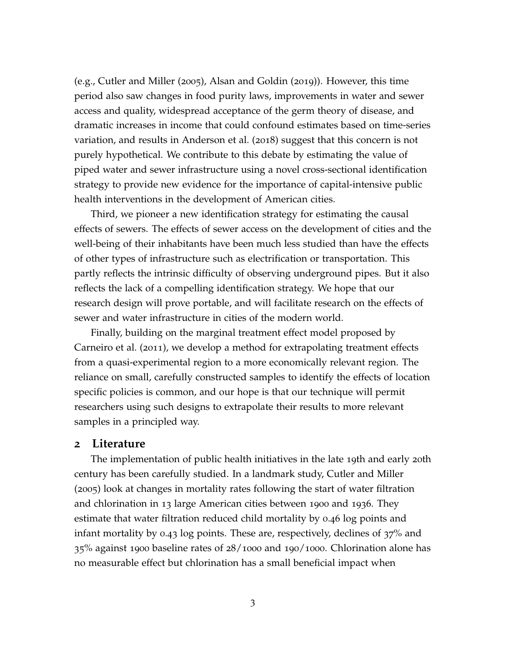(e.g., [Cutler and Miller](#page-40-0) ([2005](#page-40-0)), [Alsan and Goldin](#page-39-0) ([2019](#page-39-0))). However, this time period also saw changes in food purity laws, improvements in water and sewer access and quality, widespread acceptance of the germ theory of disease, and dramatic increases in income that could confound estimates based on time-series variation, and results in [Anderson et al.](#page-39-1) ([2018](#page-39-1)) suggest that this concern is not purely hypothetical. We contribute to this debate by estimating the value of piped water and sewer infrastructure using a novel cross-sectional identification strategy to provide new evidence for the importance of capital-intensive public health interventions in the development of American cities.

Third, we pioneer a new identification strategy for estimating the causal effects of sewers. The effects of sewer access on the development of cities and the well-being of their inhabitants have been much less studied than have the effects of other types of infrastructure such as electrification or transportation. This partly reflects the intrinsic difficulty of observing underground pipes. But it also reflects the lack of a compelling identification strategy. We hope that our research design will prove portable, and will facilitate research on the effects of sewer and water infrastructure in cities of the modern world.

Finally, building on the marginal treatment effect model proposed by [Carneiro et al.](#page-40-1) ([2011](#page-40-1)), we develop a method for extrapolating treatment effects from a quasi-experimental region to a more economically relevant region. The reliance on small, carefully constructed samples to identify the effects of location specific policies is common, and our hope is that our technique will permit researchers using such designs to extrapolate their results to more relevant samples in a principled way.

#### **2 Literature**

The implementation of public health initiatives in the late 19th and early 20th century has been carefully studied. In a landmark study, [Cutler and Miller](#page-40-0) ([2005](#page-40-0)) look at changes in mortality rates following the start of water filtration and chlorination in 13 large American cities between 1900 and 1936. They estimate that water filtration reduced child mortality by 0.46 log points and infant mortality by 0.43 log points. These are, respectively, declines of 37% and 35% against 1900 baseline rates of 28/1000 and 190/1000. Chlorination alone has no measurable effect but chlorination has a small beneficial impact when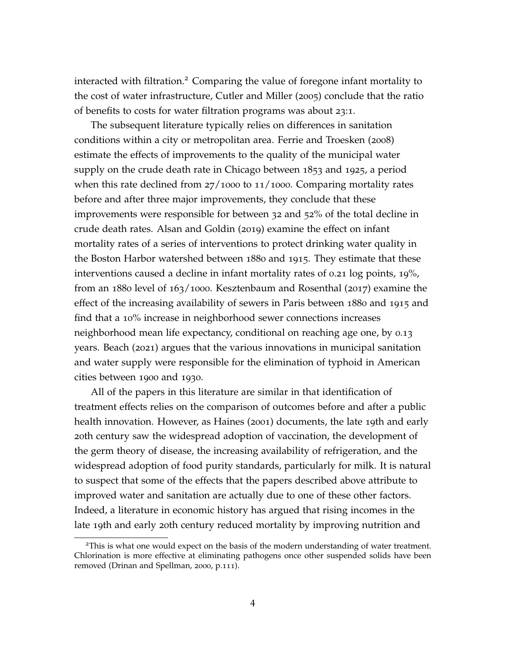interacted with filtration.<sup>[2](#page-4-0)</sup> Comparing the value of foregone infant mortality to the cost of water infrastructure, [Cutler and Miller](#page-40-0) ([2005](#page-40-0)) conclude that the ratio of benefits to costs for water filtration programs was about 23:1.

The subsequent literature typically relies on differences in sanitation conditions within a city or metropolitan area. [Ferrie and Troesken](#page-41-0) ([2008](#page-41-0)) estimate the effects of improvements to the quality of the municipal water supply on the crude death rate in Chicago between 1853 and 1925, a period when this rate declined from  $27/1000$  to  $11/1000$ . Comparing mortality rates before and after three major improvements, they conclude that these improvements were responsible for between 32 and 52% of the total decline in crude death rates. [Alsan and Goldin](#page-39-0) ([2019](#page-39-0)) examine the effect on infant mortality rates of a series of interventions to protect drinking water quality in the Boston Harbor watershed between 1880 and 1915. They estimate that these interventions caused a decline in infant mortality rates of 0.21 log points, 19%, from an 1880 level of 163/1000. [Kesztenbaum and Rosenthal](#page-41-1) ([2017](#page-41-1)) examine the effect of the increasing availability of sewers in Paris between 1880 and 1915 and find that a 10% increase in neighborhood sewer connections increases neighborhood mean life expectancy, conditional on reaching age one, by 0.13 years. [Beach](#page-40-2) ([2021](#page-40-2)) argues that the various innovations in municipal sanitation and water supply were responsible for the elimination of typhoid in American cities between 1900 and 1930.

All of the papers in this literature are similar in that identification of treatment effects relies on the comparison of outcomes before and after a public health innovation. However, as [Haines](#page-41-2) ([2001](#page-41-2)) documents, the late 19th and early 20th century saw the widespread adoption of vaccination, the development of the germ theory of disease, the increasing availability of refrigeration, and the widespread adoption of food purity standards, particularly for milk. It is natural to suspect that some of the effects that the papers described above attribute to improved water and sanitation are actually due to one of these other factors. Indeed, a literature in economic history has argued that rising incomes in the late 19th and early 20th century reduced mortality by improving nutrition and

<span id="page-4-0"></span><sup>&</sup>lt;sup>2</sup>This is what one would expect on the basis of the modern understanding of water treatment. Chlorination is more effective at eliminating pathogens once other suspended solids have been removed [\(Drinan and Spellman,](#page-40-3) [2000](#page-40-3), p.111).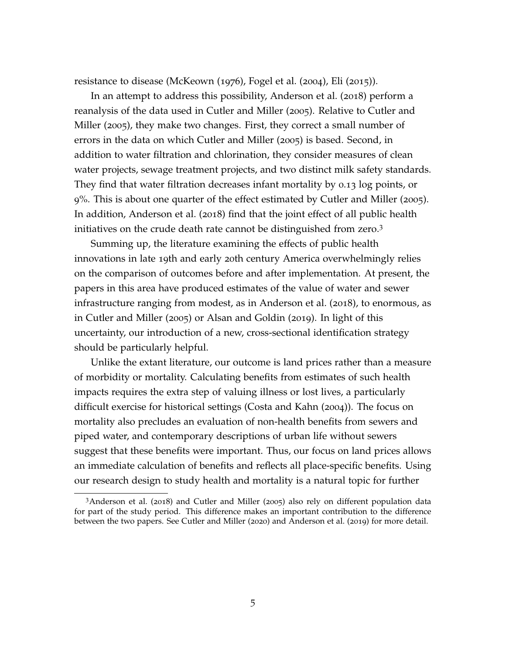resistance to disease [\(McKeown](#page-42-0) ([1976](#page-42-0)), [Fogel et al.](#page-41-3) ([2004](#page-41-3)), [Eli](#page-41-4) ([2015](#page-41-4))).

In an attempt to address this possibility, [Anderson et al.](#page-39-1) ([2018](#page-39-1)) perform a reanalysis of the data used in [Cutler and Miller](#page-40-0) ([2005](#page-40-0)). Relative to [Cutler and](#page-40-0) [Miller](#page-40-0) ([2005](#page-40-0)), they make two changes. First, they correct a small number of errors in the data on which [Cutler and Miller](#page-40-0) ([2005](#page-40-0)) is based. Second, in addition to water filtration and chlorination, they consider measures of clean water projects, sewage treatment projects, and two distinct milk safety standards. They find that water filtration decreases infant mortality by 0.13 log points, or 9%. This is about one quarter of the effect estimated by [Cutler and Miller](#page-40-0) ([2005](#page-40-0)). In addition, [Anderson et al.](#page-39-1) ([2018](#page-39-1)) find that the joint effect of all public health initiatives on the crude death rate cannot be distinguished from zero.[3](#page-5-0)

Summing up, the literature examining the effects of public health innovations in late 19th and early 20th century America overwhelmingly relies on the comparison of outcomes before and after implementation. At present, the papers in this area have produced estimates of the value of water and sewer infrastructure ranging from modest, as in [Anderson et al.](#page-39-1) ([2018](#page-39-1)), to enormous, as in [Cutler and Miller](#page-40-0) ([2005](#page-40-0)) or [Alsan and Goldin](#page-39-0) ([2019](#page-39-0)). In light of this uncertainty, our introduction of a new, cross-sectional identification strategy should be particularly helpful.

Unlike the extant literature, our outcome is land prices rather than a measure of morbidity or mortality. Calculating benefits from estimates of such health impacts requires the extra step of valuing illness or lost lives, a particularly difficult exercise for historical settings [\(Costa and Kahn](#page-40-4) ([2004](#page-40-4))). The focus on mortality also precludes an evaluation of non-health benefits from sewers and piped water, and contemporary descriptions of urban life without sewers suggest that these benefits were important. Thus, our focus on land prices allows an immediate calculation of benefits and reflects all place-specific benefits. Using our research design to study health and mortality is a natural topic for further

<span id="page-5-0"></span><sup>3</sup>[Anderson et al.](#page-39-1) ([2018](#page-39-1)) and [Cutler and Miller](#page-40-0) ([2005](#page-40-0)) also rely on different population data for part of the study period. This difference makes an important contribution to the difference between the two papers. See [Cutler and Miller](#page-40-5) ([2020](#page-40-5)) and [Anderson et al.](#page-39-2) ([2019](#page-39-2)) for more detail.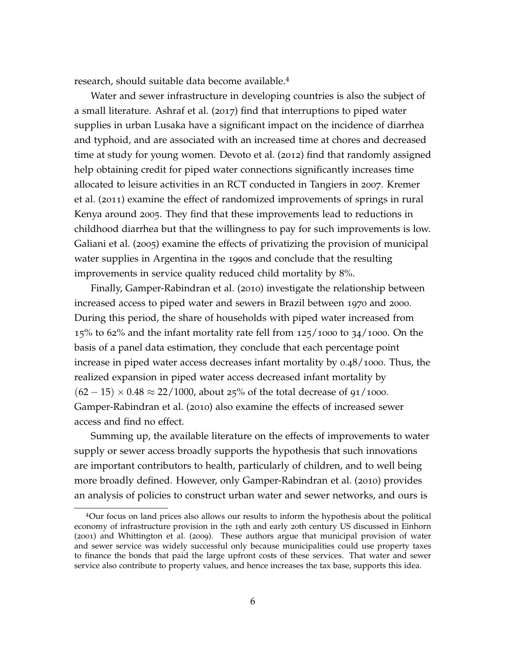research, should suitable data become available.[4](#page-6-0)

Water and sewer infrastructure in developing countries is also the subject of a small literature. [Ashraf et al.](#page-39-3) ([2017](#page-39-3)) find that interruptions to piped water supplies in urban Lusaka have a significant impact on the incidence of diarrhea and typhoid, and are associated with an increased time at chores and decreased time at study for young women. [Devoto et al.](#page-40-6) ([2012](#page-40-6)) find that randomly assigned help obtaining credit for piped water connections significantly increases time allocated to leisure activities in an RCT conducted in Tangiers in 2007. [Kremer](#page-42-1) [et al.](#page-42-1) ([2011](#page-42-1)) examine the effect of randomized improvements of springs in rural Kenya around 2005. They find that these improvements lead to reductions in childhood diarrhea but that the willingness to pay for such improvements is low. [Galiani et al.](#page-41-5) ([2005](#page-41-5)) examine the effects of privatizing the provision of municipal water supplies in Argentina in the 1990s and conclude that the resulting improvements in service quality reduced child mortality by 8%.

Finally, [Gamper-Rabindran et al.](#page-41-6) ([2010](#page-41-6)) investigate the relationship between increased access to piped water and sewers in Brazil between 1970 and 2000. During this period, the share of households with piped water increased from  $15\%$  to 62% and the infant mortality rate fell from  $125/1000$  to  $34/1000$ . On the basis of a panel data estimation, they conclude that each percentage point increase in piped water access decreases infant mortality by 0.48/1000. Thus, the realized expansion in piped water access decreased infant mortality by  $(62 - 15) \times 0.48 \approx 22/1000$ , about 25% of the total decrease of 91/1000. [Gamper-Rabindran et al.](#page-41-6) ([2010](#page-41-6)) also examine the effects of increased sewer access and find no effect.

Summing up, the available literature on the effects of improvements to water supply or sewer access broadly supports the hypothesis that such innovations are important contributors to health, particularly of children, and to well being more broadly defined. However, only [Gamper-Rabindran et al.](#page-41-6) ([2010](#page-41-6)) provides an analysis of policies to construct urban water and sewer networks, and ours is

<span id="page-6-0"></span><sup>4</sup>Our focus on land prices also allows our results to inform the hypothesis about the political economy of infrastructure provision in the 19th and early 20th century US discussed in [Einhorn](#page-41-7) ([2001](#page-41-7)) and [Whittington et al.](#page-42-2) ([2009](#page-42-2)). These authors argue that municipal provision of water and sewer service was widely successful only because municipalities could use property taxes to finance the bonds that paid the large upfront costs of these services. That water and sewer service also contribute to property values, and hence increases the tax base, supports this idea.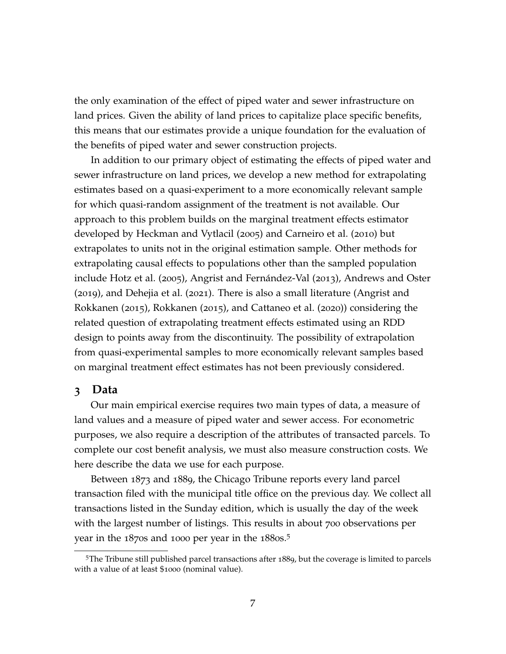the only examination of the effect of piped water and sewer infrastructure on land prices. Given the ability of land prices to capitalize place specific benefits, this means that our estimates provide a unique foundation for the evaluation of the benefits of piped water and sewer construction projects.

In addition to our primary object of estimating the effects of piped water and sewer infrastructure on land prices, we develop a new method for extrapolating estimates based on a quasi-experiment to a more economically relevant sample for which quasi-random assignment of the treatment is not available. Our approach to this problem builds on the marginal treatment effects estimator developed by [Heckman and Vytlacil](#page-41-8) ([2005](#page-41-8)) and [Carneiro et al.](#page-40-7) ([2010](#page-40-7)) but extrapolates to units not in the original estimation sample. Other methods for extrapolating causal effects to populations other than the sampled population include [Hotz et al.](#page-41-9) ([2005](#page-41-9)), [Angrist and Fernández-Val](#page-39-4) ([2013](#page-39-4)), [Andrews and Oster](#page-39-5) ([2019](#page-39-5)), and [Dehejia et al.](#page-40-8) ([2021](#page-40-8)). There is also a small literature [\(Angrist and](#page-39-6) [Rokkanen](#page-39-6) ([2015](#page-39-6)), [Rokkanen](#page-42-3) ([2015](#page-42-3)), and [Cattaneo et al.](#page-40-9) ([2020](#page-40-9))) considering the related question of extrapolating treatment effects estimated using an RDD design to points away from the discontinuity. The possibility of extrapolation from quasi-experimental samples to more economically relevant samples based on marginal treatment effect estimates has not been previously considered.

### **3 Data**

Our main empirical exercise requires two main types of data, a measure of land values and a measure of piped water and sewer access. For econometric purposes, we also require a description of the attributes of transacted parcels. To complete our cost benefit analysis, we must also measure construction costs. We here describe the data we use for each purpose.

Between 1873 and 1889, the Chicago Tribune reports every land parcel transaction filed with the municipal title office on the previous day. We collect all transactions listed in the Sunday edition, which is usually the day of the week with the largest number of listings. This results in about 700 observations per year in the  $1870s$  and 1000 per year in the  $1880s$ .<sup>[5](#page-7-0)</sup>

<span id="page-7-0"></span><sup>5</sup>The Tribune still published parcel transactions after 1889, but the coverage is limited to parcels with a value of at least \$1000 (nominal value).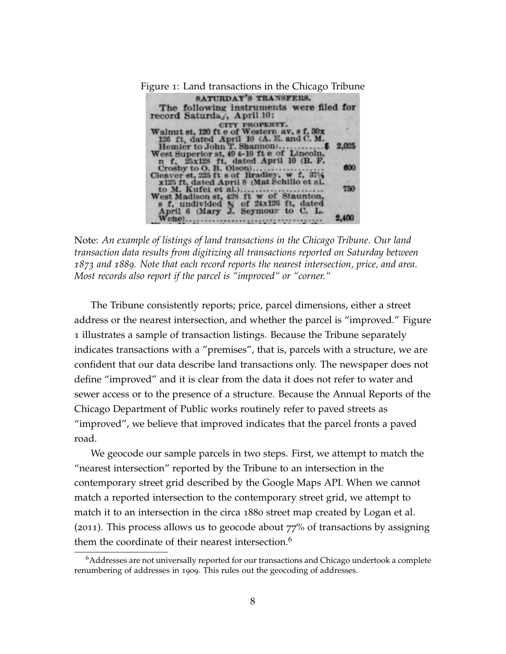<span id="page-8-0"></span>Figure 1: Land transactions in the Chicago Tribune SATURDAY'S TRANSFERS. The following instruments were filed for record Saturday, April 10: record Saturda, April 10:<br>
CITY PROPERTY.<br>
Walnut st, 120 ft e of Western av, s f, 30x<br>
125 ft, dated April 10 (A. E. and C. M.<br>
Hemler to John T. Shannon)...<br>
West Superior st, 49 4-10 ft e of Lincoln.<br>
n f, 25x128 ft, d  $...$ \$ 2,025 600 750 2,400 

Note: *An example of listings of land transactions in the Chicago Tribune. Our land transaction data results from digitizing all transactions reported on Saturday between 1873 and 1889. Note that each record reports the nearest intersection, price, and area. Most records also report if the parcel is "improved" or "corner."*

The Tribune consistently reports; price, parcel dimensions, either a street address or the nearest intersection, and whether the parcel is "improved." Figure [1](#page-8-0) illustrates a sample of transaction listings. Because the Tribune separately indicates transactions with a "premises", that is, parcels with a structure, we are confident that our data describe land transactions only. The newspaper does not define "improved" and it is clear from the data it does not refer to water and sewer access or to the presence of a structure. Because the Annual Reports of the Chicago Department of Public works routinely refer to paved streets as "improved", we believe that improved indicates that the parcel fronts a paved road.

We geocode our sample parcels in two steps. First, we attempt to match the "nearest intersection" reported by the Tribune to an intersection in the contemporary street grid described by the Google Maps API. When we cannot match a reported intersection to the contemporary street grid, we attempt to match it to an intersection in the circa 1880 street map created by Logan et al. (2011). This process allows us to geocode about  $77%$  of transactions by assigning them the coordinate of their nearest intersection.<sup>[6](#page-8-1)</sup>

<span id="page-8-1"></span><sup>6</sup>Addresses are not universally reported for our transactions and Chicago undertook a complete renumbering of addresses in 1909. This rules out the geocoding of addresses.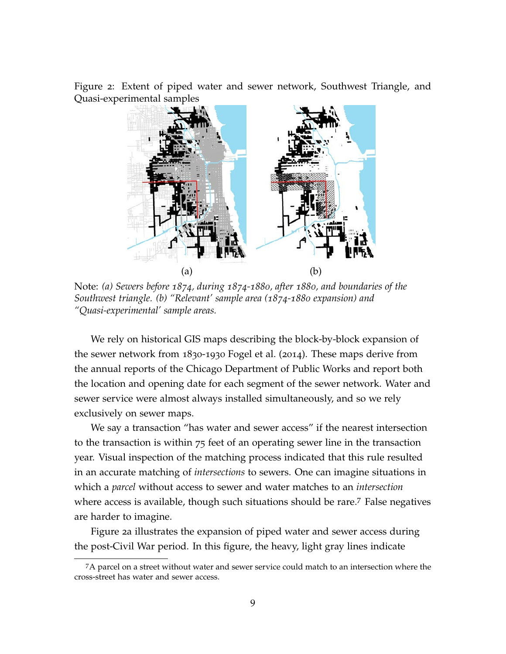<span id="page-9-1"></span>Figure 2: Extent of piped water and sewer network, Southwest Triangle, and Quasi-experimental samples



Note: *(a) Sewers before 1874, during 1874-1880, after 1880, and boundaries of the Southwest triangle. (b) "Relevant' sample area (1874-1880 expansion) and "Quasi-experimental' sample areas.*

We rely on historical GIS maps describing the block-by-block expansion of the sewer network from 1830-1930 [Fogel et al.](#page-41-10) ([2014](#page-41-10)). These maps derive from the annual reports of the Chicago Department of Public Works and report both the location and opening date for each segment of the sewer network. Water and sewer service were almost always installed simultaneously, and so we rely exclusively on sewer maps.

We say a transaction "has water and sewer access" if the nearest intersection to the transaction is within 75 feet of an operating sewer line in the transaction year. Visual inspection of the matching process indicated that this rule resulted in an accurate matching of *intersections* to sewers. One can imagine situations in which a *parcel* without access to sewer and water matches to an *intersection* where access is available, though such situations should be rare.<sup>[7](#page-9-0)</sup> False negatives are harder to imagine.

Figure [2](#page-9-1)a illustrates the expansion of piped water and sewer access during the post-Civil War period. In this figure, the heavy, light gray lines indicate

<span id="page-9-0"></span><sup>7</sup>A parcel on a street without water and sewer service could match to an intersection where the cross-street has water and sewer access.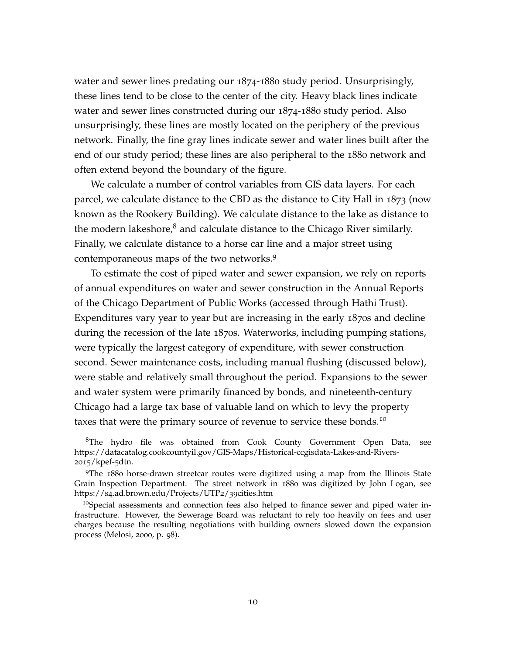water and sewer lines predating our 1874-1880 study period. Unsurprisingly, these lines tend to be close to the center of the city. Heavy black lines indicate water and sewer lines constructed during our 1874-1880 study period. Also unsurprisingly, these lines are mostly located on the periphery of the previous network. Finally, the fine gray lines indicate sewer and water lines built after the end of our study period; these lines are also peripheral to the 1880 network and often extend beyond the boundary of the figure.

We calculate a number of control variables from GIS data layers. For each parcel, we calculate distance to the CBD as the distance to City Hall in 1873 (now known as the Rookery Building). We calculate distance to the lake as distance to the modern lakeshore, $\delta$  and calculate distance to the Chicago River similarly. Finally, we calculate distance to a horse car line and a major street using contemporaneous maps of the two networks.[9](#page-10-1)

To estimate the cost of piped water and sewer expansion, we rely on reports of annual expenditures on water and sewer construction in the Annual Reports of the Chicago Department of Public Works (accessed through Hathi Trust). Expenditures vary year to year but are increasing in the early 1870s and decline during the recession of the late 1870s. Waterworks, including pumping stations, were typically the largest category of expenditure, with sewer construction second. Sewer maintenance costs, including manual flushing (discussed below), were stable and relatively small throughout the period. Expansions to the sewer and water system were primarily financed by bonds, and nineteenth-century Chicago had a large tax base of valuable land on which to levy the property taxes that were the primary source of revenue to service these bonds.[10](#page-10-2)

<span id="page-10-0"></span><sup>&</sup>lt;sup>8</sup>The hydro file was obtained from Cook County Government Open Data, see https://datacatalog.cookcountyil.gov/GIS-Maps/Historical-ccgisdata-Lakes-and-Rivers-2015/kpef-5dtn.

<span id="page-10-1"></span><sup>9</sup>The 1880 horse-drawn streetcar routes were digitized using a map from the Illinois State Grain Inspection Department. The street network in 1880 was digitized by John Logan, see https://s4.ad.brown.edu/Projects/UTP2/39cities.htm

<span id="page-10-2"></span><sup>&</sup>lt;sup>10</sup>Special assessments and connection fees also helped to finance sewer and piped water infrastructure. However, the Sewerage Board was reluctant to rely too heavily on fees and user charges because the resulting negotiations with building owners slowed down the expansion process [\(Melosi,](#page-42-4) [2000](#page-42-4), p. 98).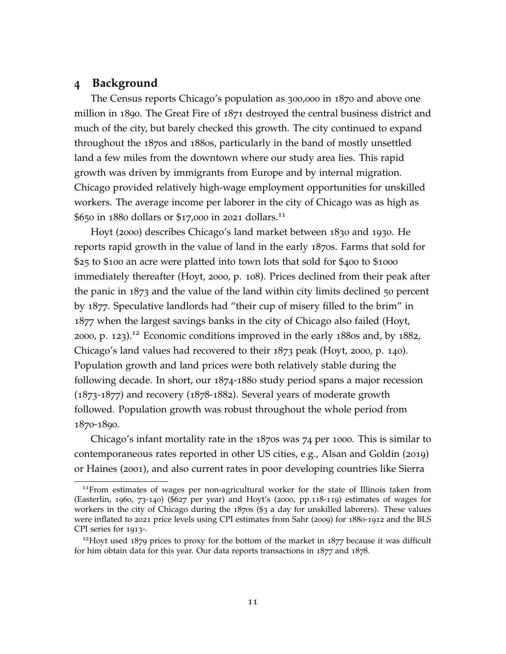# **4 Background**

The Census reports Chicago's population as 300,000 in 1870 and above one million in 1890. The Great Fire of 1871 destroyed the central business district and much of the city, but barely checked this growth. The city continued to expand throughout the 1870s and 1880s, particularly in the band of mostly unsettled land a few miles from the downtown where our study area lies. This rapid growth was driven by immigrants from Europe and by internal migration. Chicago provided relatively high-wage employment opportunities for unskilled workers. The average income per laborer in the city of Chicago was as high as \$650 in 1880 dollars or \$17,000 in 2021 dollars.[11](#page-11-0)

[Hoyt](#page-41-11) ([2000](#page-41-11)) describes Chicago's land market between 1830 and 1930. He reports rapid growth in the value of land in the early 1870s. Farms that sold for \$25 to \$100 an acre were platted into town lots that sold for \$400 to \$1000 immediately thereafter [\(Hoyt,](#page-41-11) [2000](#page-41-11), p. 108). Prices declined from their peak after the panic in 1873 and the value of the land within city limits declined 50 percent by 1877. Speculative landlords had "their cup of misery filled to the brim" in 1877 when the largest savings banks in the city of Chicago also failed [\(Hoyt,](#page-41-11) [2000](#page-41-11), p. 123).[12](#page-11-1) Economic conditions improved in the early 1880s and, by 1882, Chicago's land values had recovered to their 1873 peak [\(Hoyt,](#page-41-11) [2000](#page-41-11), p. 140). Population growth and land prices were both relatively stable during the following decade. In short, our 1874-1880 study period spans a major recession (1873-1877) and recovery (1878-1882). Several years of moderate growth followed. Population growth was robust throughout the whole period from 1870-1890.

Chicago's infant mortality rate in the 1870s was 74 per 1000. This is similar to contemporaneous rates reported in other US cities, e.g., [Alsan and Goldin](#page-39-0) ([2019](#page-39-0)) or [Haines](#page-41-2) ([2001](#page-41-2)), and also current rates in poor developing countries like Sierra

<span id="page-11-0"></span><sup>&</sup>lt;sup>11</sup> From estimates of wages per non-agricultural worker for the state of Illinois taken from [\(Easterlin,](#page-41-12) [1960](#page-41-12), 73-140) (\$627 per year) and Hoyt's (2000, pp.118-119) estimates of wages for workers in the city of Chicago during the 1870s (\$3 a day for unskilled laborers). These values were inflated to 2021 price levels using CPI estimates from [Sahr](#page-42-5) ([2009](#page-42-5)) for 1880-1912 and the BLS CPI series for 1913-.

<span id="page-11-1"></span><sup>&</sup>lt;sup>12</sup>Hoyt used 1879 prices to proxy for the bottom of the market in 1877 because it was difficult for him obtain data for this year. Our data reports transactions in 1877 and 1878.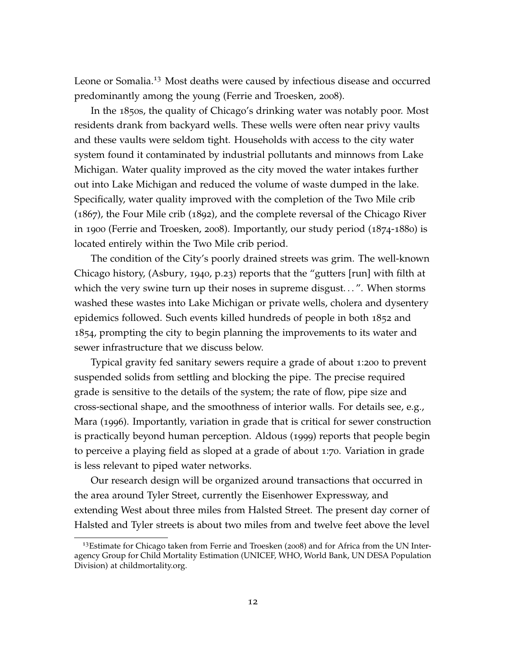Leone or Somalia.<sup>[13](#page-12-0)</sup> Most deaths were caused by infectious disease and occurred predominantly among the young [\(Ferrie and Troesken,](#page-41-0) [2008](#page-41-0)).

In the 1850s, the quality of Chicago's drinking water was notably poor. Most residents drank from backyard wells. These wells were often near privy vaults and these vaults were seldom tight. Households with access to the city water system found it contaminated by industrial pollutants and minnows from Lake Michigan. Water quality improved as the city moved the water intakes further out into Lake Michigan and reduced the volume of waste dumped in the lake. Specifically, water quality improved with the completion of the Two Mile crib (1867), the Four Mile crib (1892), and the complete reversal of the Chicago River in 1900 [\(Ferrie and Troesken,](#page-41-0) [2008](#page-41-0)). Importantly, our study period (1874-1880) is located entirely within the Two Mile crib period.

The condition of the City's poorly drained streets was grim. The well-known Chicago history, [\(Asbury,](#page-39-7) [1940](#page-39-7), p.23) reports that the "gutters [run] with filth at which the very swine turn up their noses in supreme disgust...". When storms washed these wastes into Lake Michigan or private wells, cholera and dysentery epidemics followed. Such events killed hundreds of people in both 1852 and 1854, prompting the city to begin planning the improvements to its water and sewer infrastructure that we discuss below.

Typical gravity fed sanitary sewers require a grade of about 1:200 to prevent suspended solids from settling and blocking the pipe. The precise required grade is sensitive to the details of the system; the rate of flow, pipe size and cross-sectional shape, and the smoothness of interior walls. For details see, e.g., [Mara](#page-42-6) ([1996](#page-42-6)). Importantly, variation in grade that is critical for sewer construction is practically beyond human perception. [Aldous](#page-39-8) ([1999](#page-39-8)) reports that people begin to perceive a playing field as sloped at a grade of about 1:70. Variation in grade is less relevant to piped water networks.

Our research design will be organized around transactions that occurred in the area around Tyler Street, currently the Eisenhower Expressway, and extending West about three miles from Halsted Street. The present day corner of Halsted and Tyler streets is about two miles from and twelve feet above the level

<span id="page-12-0"></span> $13$ Estimate for Chicago taken from [Ferrie and Troesken](#page-41-0) ([2008](#page-41-0)) and for Africa from the UN Interagency Group for Child Mortality Estimation (UNICEF, WHO, World Bank, UN DESA Population Division) at childmortality.org.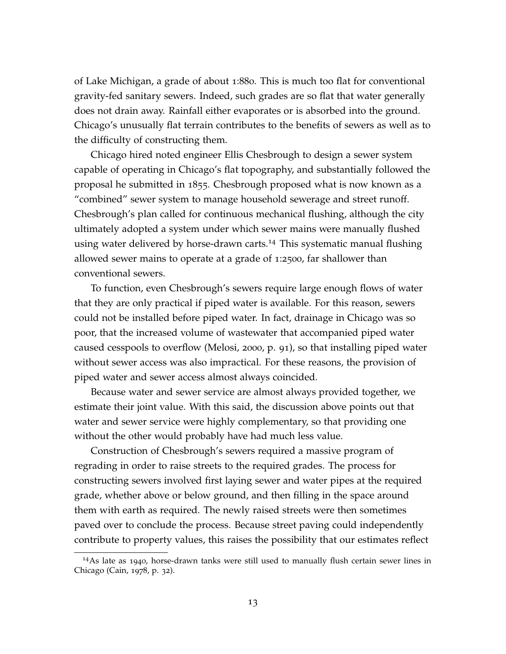of Lake Michigan, a grade of about 1:880. This is much too flat for conventional gravity-fed sanitary sewers. Indeed, such grades are so flat that water generally does not drain away. Rainfall either evaporates or is absorbed into the ground. Chicago's unusually flat terrain contributes to the benefits of sewers as well as to the difficulty of constructing them.

Chicago hired noted engineer Ellis Chesbrough to design a sewer system capable of operating in Chicago's flat topography, and substantially followed the proposal he submitted in 1855. Chesbrough proposed what is now known as a "combined" sewer system to manage household sewerage and street runoff. Chesbrough's plan called for continuous mechanical flushing, although the city ultimately adopted a system under which sewer mains were manually flushed using water delivered by horse-drawn carts.<sup>[14](#page-13-0)</sup> This systematic manual flushing allowed sewer mains to operate at a grade of 1:2500, far shallower than conventional sewers.

To function, even Chesbrough's sewers require large enough flows of water that they are only practical if piped water is available. For this reason, sewers could not be installed before piped water. In fact, drainage in Chicago was so poor, that the increased volume of wastewater that accompanied piped water caused cesspools to overflow [\(Melosi,](#page-42-4) [2000](#page-42-4), p. 91), so that installing piped water without sewer access was also impractical. For these reasons, the provision of piped water and sewer access almost always coincided.

Because water and sewer service are almost always provided together, we estimate their joint value. With this said, the discussion above points out that water and sewer service were highly complementary, so that providing one without the other would probably have had much less value.

Construction of Chesbrough's sewers required a massive program of regrading in order to raise streets to the required grades. The process for constructing sewers involved first laying sewer and water pipes at the required grade, whether above or below ground, and then filling in the space around them with earth as required. The newly raised streets were then sometimes paved over to conclude the process. Because street paving could independently contribute to property values, this raises the possibility that our estimates reflect

<span id="page-13-0"></span><sup>14</sup>As late as 1940, horse-drawn tanks were still used to manually flush certain sewer lines in Chicago [\(Cain,](#page-40-10) [1978](#page-40-10), p. 32).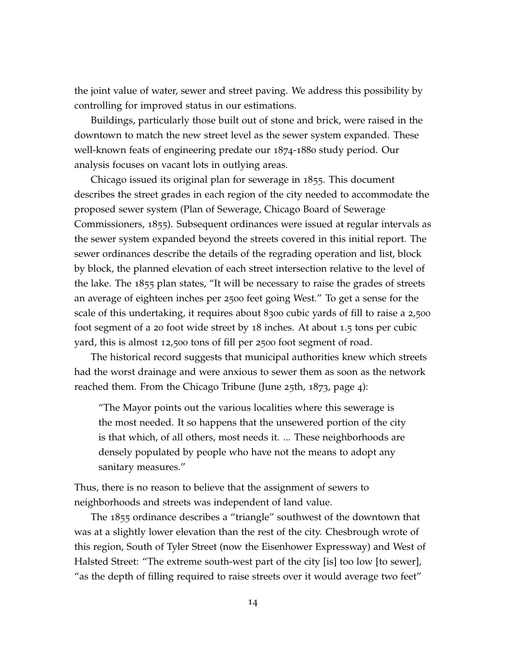the joint value of water, sewer and street paving. We address this possibility by controlling for improved status in our estimations.

Buildings, particularly those built out of stone and brick, were raised in the downtown to match the new street level as the sewer system expanded. These well-known feats of engineering predate our 1874-1880 study period. Our analysis focuses on vacant lots in outlying areas.

Chicago issued its original plan for sewerage in 1855. This document describes the street grades in each region of the city needed to accommodate the proposed sewer system (Plan of Sewerage, Chicago Board of Sewerage Commissioners, 1855). Subsequent ordinances were issued at regular intervals as the sewer system expanded beyond the streets covered in this initial report. The sewer ordinances describe the details of the regrading operation and list, block by block, the planned elevation of each street intersection relative to the level of the lake. The 1855 plan states, "It will be necessary to raise the grades of streets an average of eighteen inches per 2500 feet going West." To get a sense for the scale of this undertaking, it requires about 8300 cubic yards of fill to raise a 2,500 foot segment of a 20 foot wide street by 18 inches. At about 1.5 tons per cubic yard, this is almost 12,500 tons of fill per 2500 foot segment of road.

The historical record suggests that municipal authorities knew which streets had the worst drainage and were anxious to sewer them as soon as the network reached them. From the Chicago Tribune (June 25th, 1873, page 4):

"The Mayor points out the various localities where this sewerage is the most needed. It so happens that the unsewered portion of the city is that which, of all others, most needs it. ... These neighborhoods are densely populated by people who have not the means to adopt any sanitary measures."

Thus, there is no reason to believe that the assignment of sewers to neighborhoods and streets was independent of land value.

The 1855 ordinance describes a "triangle" southwest of the downtown that was at a slightly lower elevation than the rest of the city. Chesbrough wrote of this region, South of Tyler Street (now the Eisenhower Expressway) and West of Halsted Street: "The extreme south-west part of the city [is] too low [to sewer], "as the depth of filling required to raise streets over it would average two feet"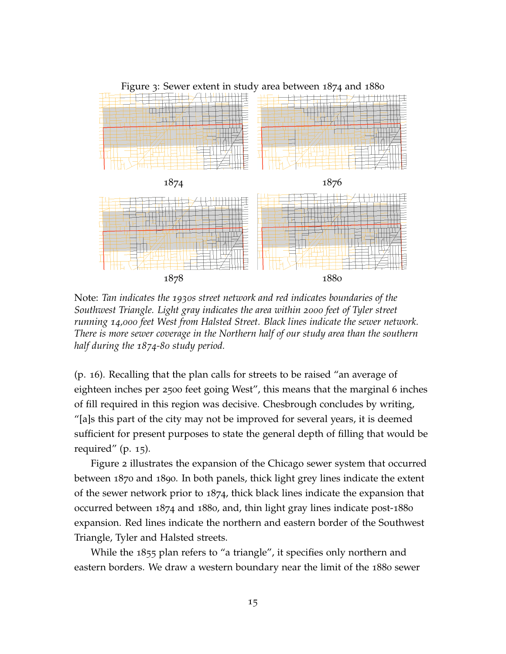<span id="page-15-0"></span>

Note: *Tan indicates the 1930s street network and red indicates boundaries of the Southwest Triangle. Light gray indicates the area within 2000 feet of Tyler street running 14,000 feet West from Halsted Street. Black lines indicate the sewer network. There is more sewer coverage in the Northern half of our study area than the southern half during the 1874-80 study period.*

(p. 16). Recalling that the plan calls for streets to be raised "an average of eighteen inches per 2500 feet going West", this means that the marginal 6 inches of fill required in this region was decisive. Chesbrough concludes by writing, "[a]s this part of the city may not be improved for several years, it is deemed sufficient for present purposes to state the general depth of filling that would be required" (p. 15).

Figure [2](#page-9-1) illustrates the expansion of the Chicago sewer system that occurred between 1870 and 1890. In both panels, thick light grey lines indicate the extent of the sewer network prior to 1874, thick black lines indicate the expansion that occurred between 1874 and 1880, and, thin light gray lines indicate post-1880 expansion. Red lines indicate the northern and eastern border of the Southwest Triangle, Tyler and Halsted streets.

While the 1855 plan refers to "a triangle", it specifies only northern and eastern borders. We draw a western boundary near the limit of the 1880 sewer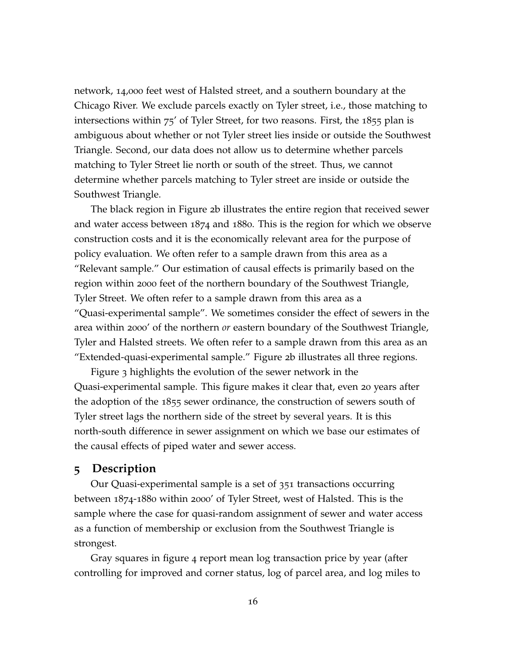network, 14,000 feet west of Halsted street, and a southern boundary at the Chicago River. We exclude parcels exactly on Tyler street, i.e., those matching to intersections within 75' of Tyler Street, for two reasons. First, the 1855 plan is ambiguous about whether or not Tyler street lies inside or outside the Southwest Triangle. Second, our data does not allow us to determine whether parcels matching to Tyler Street lie north or south of the street. Thus, we cannot determine whether parcels matching to Tyler street are inside or outside the Southwest Triangle.

The black region in Figure [2](#page-9-1)b illustrates the entire region that received sewer and water access between 1874 and 1880. This is the region for which we observe construction costs and it is the economically relevant area for the purpose of policy evaluation. We often refer to a sample drawn from this area as a "Relevant sample." Our estimation of causal effects is primarily based on the region within 2000 feet of the northern boundary of the Southwest Triangle, Tyler Street. We often refer to a sample drawn from this area as a "Quasi-experimental sample". We sometimes consider the effect of sewers in the area within 2000' of the northern *or* eastern boundary of the Southwest Triangle, Tyler and Halsted streets. We often refer to a sample drawn from this area as an "Extended-quasi-experimental sample." Figure [2](#page-9-1)b illustrates all three regions.

Figure [3](#page-15-0) highlights the evolution of the sewer network in the Quasi-experimental sample. This figure makes it clear that, even 20 years after the adoption of the 1855 sewer ordinance, the construction of sewers south of Tyler street lags the northern side of the street by several years. It is this north-south difference in sewer assignment on which we base our estimates of the causal effects of piped water and sewer access.

### **5 Description**

Our Quasi-experimental sample is a set of 351 transactions occurring between 1874-1880 within 2000' of Tyler Street, west of Halsted. This is the sample where the case for quasi-random assignment of sewer and water access as a function of membership or exclusion from the Southwest Triangle is strongest.

Gray squares in figure [4](#page-17-0) report mean log transaction price by year (after controlling for improved and corner status, log of parcel area, and log miles to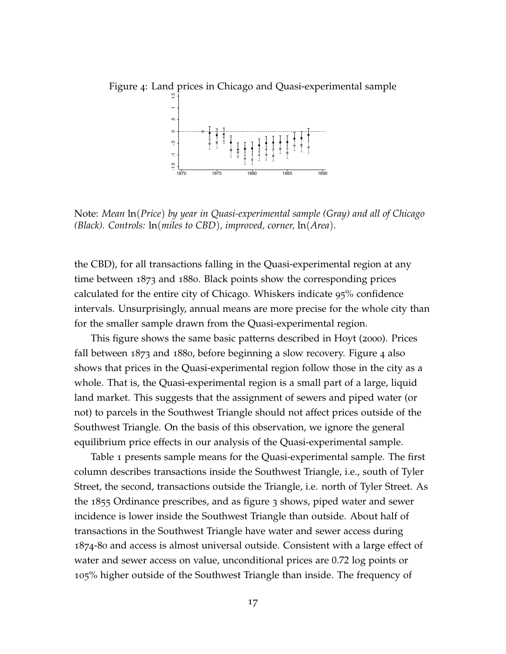<span id="page-17-0"></span>

Note: *Mean* ln(*Price*) *by year in Quasi-experimental sample (Gray) and all of Chicago (Black). Controls:* ln(*miles to CBD*)*, improved, corner,* ln(*Area*)*.*

the CBD), for all transactions falling in the Quasi-experimental region at any time between 1873 and 1880. Black points show the corresponding prices calculated for the entire city of Chicago. Whiskers indicate 95% confidence intervals. Unsurprisingly, annual means are more precise for the whole city than for the smaller sample drawn from the Quasi-experimental region.

This figure shows the same basic patterns described in [Hoyt](#page-41-11) ([2000](#page-41-11)). Prices fall between 1873 and 1880, before beginning a slow recovery. Figure [4](#page-17-0) also shows that prices in the Quasi-experimental region follow those in the city as a whole. That is, the Quasi-experimental region is a small part of a large, liquid land market. This suggests that the assignment of sewers and piped water (or not) to parcels in the Southwest Triangle should not affect prices outside of the Southwest Triangle. On the basis of this observation, we ignore the general equilibrium price effects in our analysis of the Quasi-experimental sample.

Table [1](#page-18-0) presents sample means for the Quasi-experimental sample. The first column describes transactions inside the Southwest Triangle, i.e., south of Tyler Street, the second, transactions outside the Triangle, i.e. north of Tyler Street. As the 1855 Ordinance prescribes, and as figure [3](#page-15-0) shows, piped water and sewer incidence is lower inside the Southwest Triangle than outside. About half of transactions in the Southwest Triangle have water and sewer access during 1874-80 and access is almost universal outside. Consistent with a large effect of water and sewer access on value, unconditional prices are 0.72 log points or 105% higher outside of the Southwest Triangle than inside. The frequency of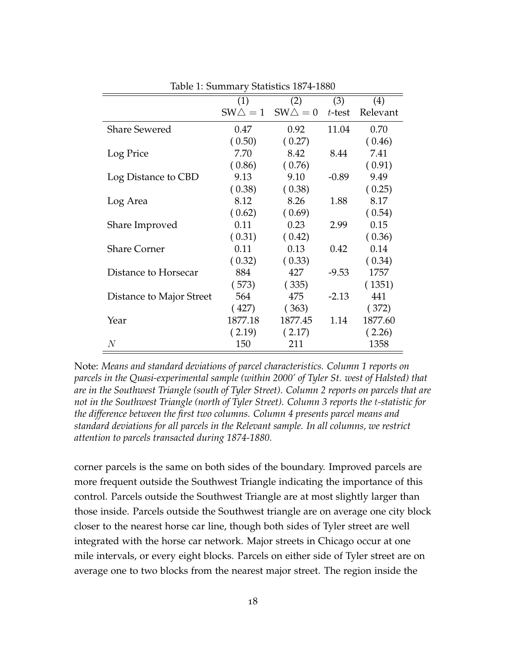<span id="page-18-0"></span>

|                          | (1)               | (2)               | (3)       | (4)      |
|--------------------------|-------------------|-------------------|-----------|----------|
|                          | $SW\triangle = 1$ | $SW\triangle = 0$ | $t$ -test | Relevant |
| <b>Share Sewered</b>     | 0.47              | 0.92              | 11.04     | 0.70     |
|                          | (0.50)            | (0.27)            |           | (0.46)   |
| Log Price                | 7.70              | 8.42              | 8.44      | 7.41     |
|                          | (0.86)            | (0.76)            |           | (0.91)   |
| Log Distance to CBD      | 9.13              | 9.10              | $-0.89$   | 9.49     |
|                          | (0.38)            | (0.38)            |           | (0.25)   |
| Log Area                 | 8.12              | 8.26              | 1.88      | 8.17     |
|                          | (0.62)            | (0.69)            |           | (0.54)   |
| Share Improved           | 0.11              | 0.23              | 2.99      | 0.15     |
|                          | (0.31)            | (0.42)            |           | (0.36)   |
| <b>Share Corner</b>      | 0.11              | 0.13              | 0.42      | 0.14     |
|                          | (0.32)            | (0.33)            |           | (0.34)   |
| Distance to Horsecar     | 884               | 427               | $-9.53$   | 1757     |
|                          | (573)             | (335)             |           | (1351)   |
| Distance to Major Street | 564               | 475               | $-2.13$   | 441      |
|                          | (427)             | (363)             |           | (372)    |
| Year                     | 1877.18           | 1877.45           | 1.14      | 1877.60  |
|                          | (2.19)            | (2.17)            |           | (2.26)   |
| $\,N$                    | 150               | 211               |           | 1358     |

Table 1: Summary Statistics 1874-1880

Note: *Means and standard deviations of parcel characteristics. Column 1 reports on parcels in the Quasi-experimental sample (within 2000' of Tyler St. west of Halsted) that are in the Southwest Triangle (south of Tyler Street). Column 2 reports on parcels that are not in the Southwest Triangle (north of Tyler Street). Column 3 reports the* t*-statistic for the difference between the first two columns. Column 4 presents parcel means and standard deviations for all parcels in the Relevant sample. In all columns, we restrict attention to parcels transacted during 1874-1880.*

corner parcels is the same on both sides of the boundary. Improved parcels are more frequent outside the Southwest Triangle indicating the importance of this control. Parcels outside the Southwest Triangle are at most slightly larger than those inside. Parcels outside the Southwest triangle are on average one city block closer to the nearest horse car line, though both sides of Tyler street are well integrated with the horse car network. Major streets in Chicago occur at one mile intervals, or every eight blocks. Parcels on either side of Tyler street are on average one to two blocks from the nearest major street. The region inside the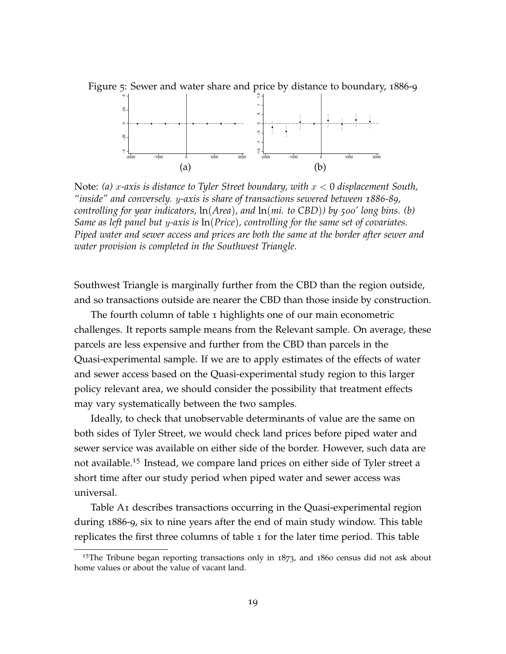

Figure 5: Sewer and water share and price by distance to boundary, 1886-9

Note: *(a)* x*-axis is distance to Tyler Street boundary, with* x < 0 *displacement South, "inside" and conversely.* y*-axis is share of transactions sewered between 1886-89, controlling for year indicators,* ln(*Area*)*, and* ln(*mi. to CBD*)*) by 500' long bins. (b) Same as left panel but* y*-axis is* ln(*Price*)*, controlling for the same set of covariates. Piped water and sewer access and prices are both the same at the border after sewer and water provision is completed in the Southwest Triangle.*

Southwest Triangle is marginally further from the CBD than the region outside, and so transactions outside are nearer the CBD than those inside by construction.

The fourth column of table [1](#page-18-0) highlights one of our main econometric challenges. It reports sample means from the Relevant sample. On average, these parcels are less expensive and further from the CBD than parcels in the Quasi-experimental sample. If we are to apply estimates of the effects of water and sewer access based on the Quasi-experimental study region to this larger policy relevant area, we should consider the possibility that treatment effects may vary systematically between the two samples.

Ideally, to check that unobservable determinants of value are the same on both sides of Tyler Street, we would check land prices before piped water and sewer service was available on either side of the border. However, such data are not available.<sup>[15](#page-19-0)</sup> Instead, we compare land prices on either side of Tyler street a short time after our study period when piped water and sewer access was universal.

Table [A](#page-18-0)1 describes transactions occurring in the Quasi-experimental region during 1886-9, six to nine years after the end of main study window. This table replicates the first three columns of table [1](#page-18-0) for the later time period. This table

<span id="page-19-0"></span> $15$ The Tribune began reporting transactions only in  $1873$ , and  $1860$  census did not ask about home values or about the value of vacant land.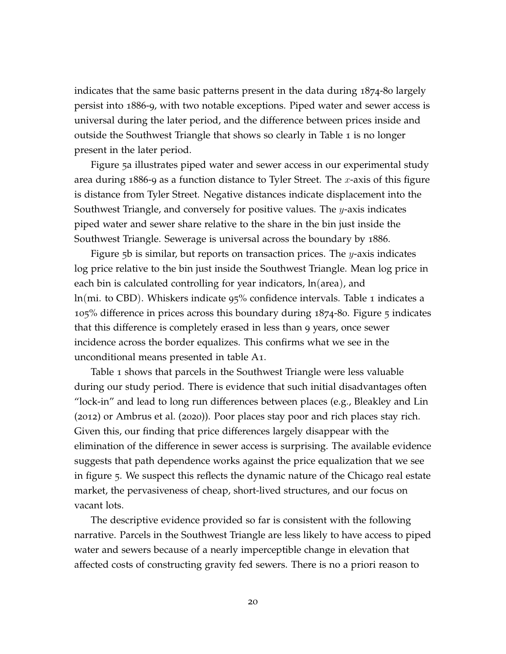indicates that the same basic patterns present in the data during 1874-80 largely persist into 1886-9, with two notable exceptions. Piped water and sewer access is universal during the later period, and the difference between prices inside and outside the Southwest Triangle that shows so clearly in Table [1](#page-18-0) is no longer present in the later period.

Figure [5](#page-18-0)a illustrates piped water and sewer access in our experimental study area during 1886-9 as a function distance to Tyler Street. The x-axis of this figure is distance from Tyler Street. Negative distances indicate displacement into the Southwest Triangle, and conversely for positive values. The  $y$ -axis indicates piped water and sewer share relative to the share in the bin just inside the Southwest Triangle. Sewerage is universal across the boundary by 1886.

Figure  $5b$  $5b$  is similar, but reports on transaction prices. The  $y$ -axis indicates log price relative to the bin just inside the Southwest Triangle. Mean log price in each bin is calculated controlling for year indicators, ln(area), and ln(mi. to CBD). Whiskers indicate 95% confidence intervals. Table [1](#page-18-0) indicates a 105% difference in prices across this boundary during 1874-80. Figure [5](#page-18-0) indicates that this difference is completely erased in less than 9 years, once sewer incidence across the border equalizes. This confirms what we see in the unconditional means presented in table [A](#page-18-0)1.

Table [1](#page-18-0) shows that parcels in the Southwest Triangle were less valuable during our study period. There is evidence that such initial disadvantages often "lock-in" and lead to long run differences between places (e.g., [Bleakley and Lin](#page-40-11) ([2012](#page-40-11)) or [Ambrus et al.](#page-39-9) ([2020](#page-39-9))). Poor places stay poor and rich places stay rich. Given this, our finding that price differences largely disappear with the elimination of the difference in sewer access is surprising. The available evidence suggests that path dependence works against the price equalization that we see in figure [5](#page-18-0). We suspect this reflects the dynamic nature of the Chicago real estate market, the pervasiveness of cheap, short-lived structures, and our focus on vacant lots.

The descriptive evidence provided so far is consistent with the following narrative. Parcels in the Southwest Triangle are less likely to have access to piped water and sewers because of a nearly imperceptible change in elevation that affected costs of constructing gravity fed sewers. There is no a priori reason to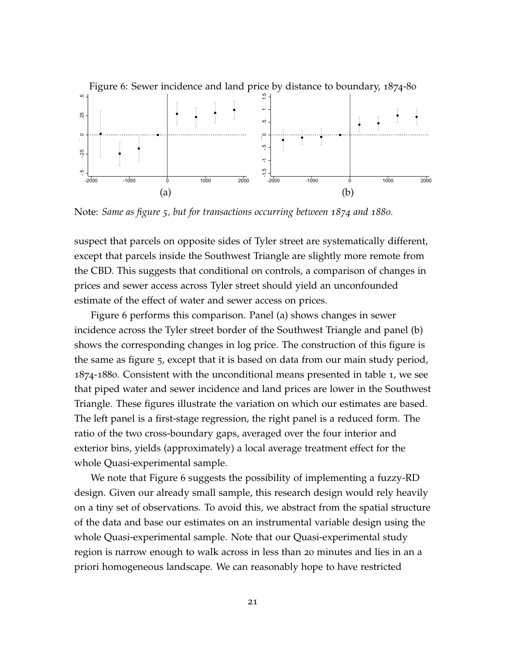<span id="page-21-0"></span>

Note: *Same as figure [5](#page-18-0), but for transactions occurring between 1874 and 1880.*

suspect that parcels on opposite sides of Tyler street are systematically different, except that parcels inside the Southwest Triangle are slightly more remote from the CBD. This suggests that conditional on controls, a comparison of changes in prices and sewer access across Tyler street should yield an unconfounded estimate of the effect of water and sewer access on prices.

Figure [6](#page-21-0) performs this comparison. Panel (a) shows changes in sewer incidence across the Tyler street border of the Southwest Triangle and panel (b) shows the corresponding changes in log price. The construction of this figure is the same as figure [5](#page-18-0), except that it is based on data from our main study period, 1874-1880. Consistent with the unconditional means presented in table [1](#page-18-0), we see that piped water and sewer incidence and land prices are lower in the Southwest Triangle. These figures illustrate the variation on which our estimates are based. The left panel is a first-stage regression, the right panel is a reduced form. The ratio of the two cross-boundary gaps, averaged over the four interior and exterior bins, yields (approximately) a local average treatment effect for the whole Quasi-experimental sample.

We note that Figure [6](#page-21-0) suggests the possibility of implementing a fuzzy-RD design. Given our already small sample, this research design would rely heavily on a tiny set of observations. To avoid this, we abstract from the spatial structure of the data and base our estimates on an instrumental variable design using the whole Quasi-experimental sample. Note that our Quasi-experimental study region is narrow enough to walk across in less than 20 minutes and lies in an a priori homogeneous landscape. We can reasonably hope to have restricted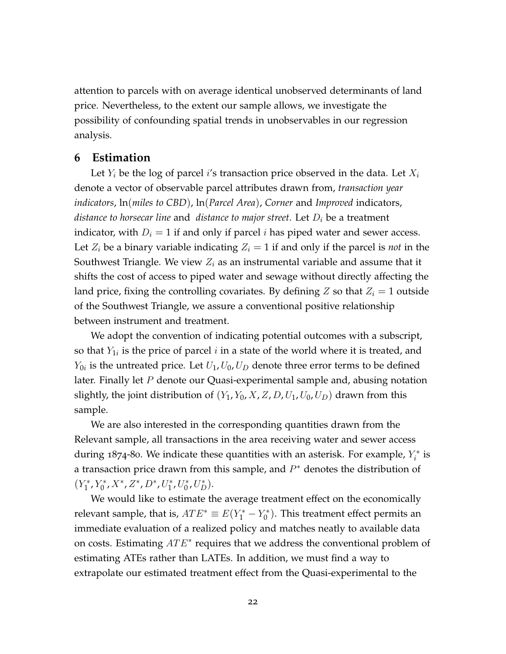attention to parcels with on average identical unobserved determinants of land price. Nevertheless, to the extent our sample allows, we investigate the possibility of confounding spatial trends in unobservables in our regression analysis.

### **6 Estimation**

Let  $Y_i$  be the log of parcel i's transaction price observed in the data. Let  $X_i$ denote a vector of observable parcel attributes drawn from, *transaction year indicators*, ln(*miles to CBD*), ln(*Parcel Area*), *Corner* and *Improved* indicators, *distance to horsecar line* and *distance to major street*. Let  $D_i$  be a treatment indicator, with  $D_i = 1$  if and only if parcel *i* has piped water and sewer access. Let  $Z_i$  be a binary variable indicating  $Z_i = 1$  if and only if the parcel is *not* in the Southwest Triangle. We view  $Z_i$  as an instrumental variable and assume that it shifts the cost of access to piped water and sewage without directly affecting the land price, fixing the controlling covariates. By defining Z so that  $Z_i = 1$  outside of the Southwest Triangle, we assure a conventional positive relationship between instrument and treatment.

We adopt the convention of indicating potential outcomes with a subscript, so that  $Y_{1i}$  is the price of parcel  $i$  in a state of the world where it is treated, and  $Y_{0i}$  is the untreated price. Let  $U_1, U_0, U_D$  denote three error terms to be defined later. Finally let  $P$  denote our Quasi-experimental sample and, abusing notation slightly, the joint distribution of  $(Y_1, Y_0, X, Z, D, U_1, U_0, U_D)$  drawn from this sample.

We are also interested in the corresponding quantities drawn from the Relevant sample, all transactions in the area receiving water and sewer access during 1874-80. We indicate these quantities with an asterisk. For example,  $Y_i^*$  is a transaction price drawn from this sample, and  $P^*$  denotes the distribution of  $(Y_1^*$  $i^*_{1}$ ,  $Y_0^*$  $U_0^*, X^*, Z^*, D^*, U_1^*$  $i^*$ ,  $U_0^*$  $_{0}^{*},U_{D}^{*}).$ 

We would like to estimate the average treatment effect on the economically relevant sample, that is,  $ATE^* \equiv E(Y_1^* - Y_0^*)$  $\binom{1}{0}$ . This treatment effect permits an immediate evaluation of a realized policy and matches neatly to available data on costs. Estimating  $ATE*$  requires that we address the conventional problem of estimating ATEs rather than LATEs. In addition, we must find a way to extrapolate our estimated treatment effect from the Quasi-experimental to the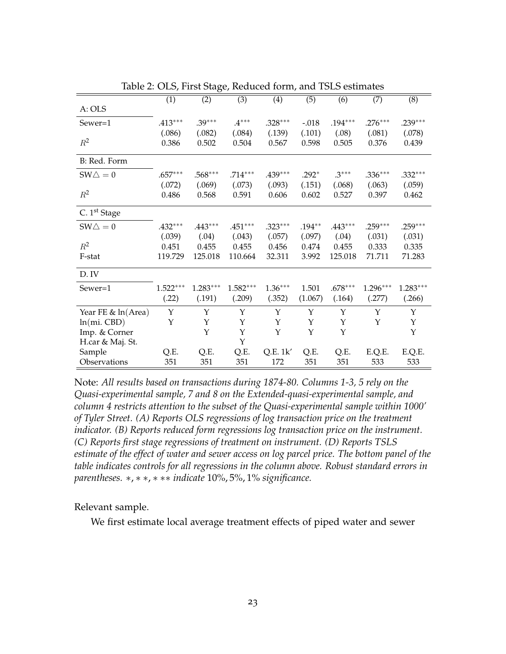<span id="page-23-0"></span>

|                          | (1)        | (2)         | (3)         | (4)       | (5)          | (6)       | (7)        | (8)         |
|--------------------------|------------|-------------|-------------|-----------|--------------|-----------|------------|-------------|
| A: OLS                   |            |             |             |           |              |           |            |             |
| Sewer=1                  | $.413***$  | $.39***$    | $.4***$     | $.328***$ | $-.018$      | $.194***$ | $.276***$  | $.239***$   |
|                          | (.086)     | (.082)      | (.084)      | (.139)    | (.101)       | (.08)     | (.081)     | (.078)      |
| $R^2$                    | 0.386      | 0.502       | 0.504       | 0.567     | 0.598        | 0.505     | 0.376      | 0.439       |
| B: Red. Form             |            |             |             |           |              |           |            |             |
| $SW\triangle = 0$        | $.657***$  | $.568***$   | $.714***$   | $.439***$ | $.292*$      | $.3***$   | $.336***$  | $.332***$   |
|                          | (.072)     | (.069)      | (.073)      | (.093)    | (.151)       | (.068)    | (.063)     | (.059)      |
| $R^2$                    | 0.486      | 0.568       | 0.591       | 0.606     | 0.602        | 0.527     | 0.397      | 0.462       |
| C. 1 <sup>st</sup> Stage |            |             |             |           |              |           |            |             |
| $SW\triangle = 0$        | $.432***$  | $.443***$   | $.451***$   | $.323***$ | $.194**$     | $.443***$ | $.259***$  | $.259***$   |
|                          | (.039)     | (.04)       | (.043)      | (.057)    | (.097)       | (.04)     | (.031)     | (.031)      |
| $R^2$                    | 0.451      | 0.455       | 0.455       | 0.456     | 0.474        | 0.455     | 0.333      | 0.335       |
| F-stat                   | 119.729    | 125.018     | 110.664     | 32.311    | 3.992        | 125.018   | 71.711     | 71.283      |
| D. IV                    |            |             |             |           |              |           |            |             |
| Sewer=1                  | $1.522***$ | $1.283***$  | $1.582***$  | $1.36***$ | 1.501        | $.678***$ | $1.296***$ | $1.283***$  |
|                          | (.22)      | (.191)      | (.209)      | (.352)    | (1.067)      | (.164)    | (.277)     | (.266)      |
| Year FE & ln(Area)       | Y          | Y           | Y           | Y         | $\mathbf{Y}$ | Y         | Y          | Y           |
| $ln(mi.$ CBD $)$         | Υ          | Υ           | Υ           | Y         | $\mathbf Y$  | Υ         | Y          | $\mathbf Y$ |
| Imp. & Corner            |            | $\mathbf Y$ | $\mathbf Y$ | Y         | $\mathbf Y$  | Υ         |            | Y           |
| H.car & Maj. St.         |            |             | Y           |           |              |           |            |             |
| Sample                   | Q.E.       | Q.E.        | Q.E.        | Q.E. 1k'  | Q.E.         | Q.E.      | E.Q.E.     | E.Q.E.      |
| Observations             | 351        | 351         | 351         | 172       | 351          | 351       | 533        | 533         |

Table 2: OLS, First Stage, Reduced form, and TSLS estimates

Note: *All results based on transactions during 1874-80. Columns 1-3, 5 rely on the Quasi-experimental sample, 7 and 8 on the Extended-quasi-experimental sample, and column 4 restricts attention to the subset of the Quasi-experimental sample within 1000' of Tyler Street. (A) Reports OLS regressions of log transaction price on the treatment indicator. (B) Reports reduced form regressions log transaction price on the instrument. (C) Reports first stage regressions of treatment on instrument. (D) Reports TSLS estimate of the effect of water and sewer access on log parcel price. The bottom panel of the table indicates controls for all regressions in the column above. Robust standard errors in parentheses.* ∗, ∗ ∗, ∗ ∗∗ *indicate* 10%, 5%, 1% *significance.*

Relevant sample.

We first estimate local average treatment effects of piped water and sewer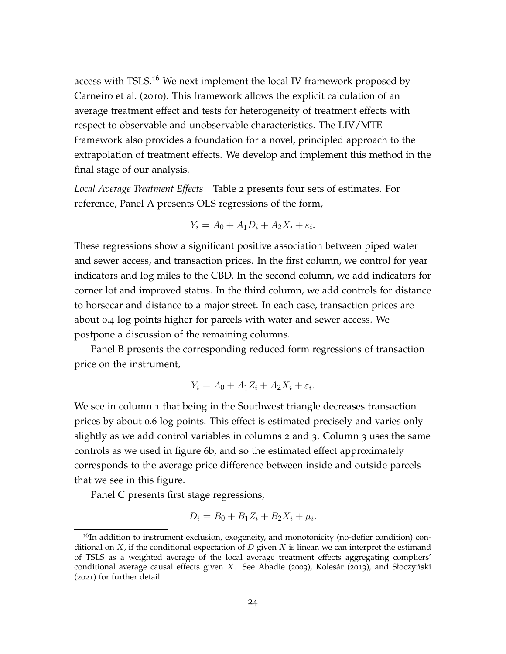access with TSLS.<sup>[16](#page-24-0)</sup> We next implement the local IV framework proposed by [Carneiro et al.](#page-40-7) ([2010](#page-40-7)). This framework allows the explicit calculation of an average treatment effect and tests for heterogeneity of treatment effects with respect to observable and unobservable characteristics. The LIV/MTE framework also provides a foundation for a novel, principled approach to the extrapolation of treatment effects. We develop and implement this method in the final stage of our analysis.

*Local Average Treatment Effects* Table [2](#page-23-0) presents four sets of estimates. For reference, Panel A presents OLS regressions of the form,

$$
Y_i = A_0 + A_1 D_i + A_2 X_i + \varepsilon_i.
$$

These regressions show a significant positive association between piped water and sewer access, and transaction prices. In the first column, we control for year indicators and log miles to the CBD. In the second column, we add indicators for corner lot and improved status. In the third column, we add controls for distance to horsecar and distance to a major street. In each case, transaction prices are about 0.4 log points higher for parcels with water and sewer access. We postpone a discussion of the remaining columns.

Panel B presents the corresponding reduced form regressions of transaction price on the instrument,

$$
Y_i = A_0 + A_1 Z_i + A_2 X_i + \varepsilon_i.
$$

We see in column 1 that being in the Southwest triangle decreases transaction prices by about 0.6 log points. This effect is estimated precisely and varies only slightly as we add control variables in columns 2 and 3. Column 3 uses the same controls as we used in figure [6](#page-21-0)b, and so the estimated effect approximately corresponds to the average price difference between inside and outside parcels that we see in this figure.

Panel C presents first stage regressions,

$$
D_i = B_0 + B_1 Z_i + B_2 X_i + \mu_i.
$$

<span id="page-24-0"></span> $16$ In addition to instrument exclusion, exogeneity, and monotonicity (no-defier condition) conditional on  $X$ , if the conditional expectation of D given  $X$  is linear, we can interpret the estimand of TSLS as a weighted average of the local average treatment effects aggregating compliers' conditional average causal effects given  $X$ . See [Abadie](#page-39-10) ([2003](#page-39-10)), [Kolesár](#page-42-7) ([2013](#page-42-7)), and Słoczyński ([2021](#page-42-8)) for further detail.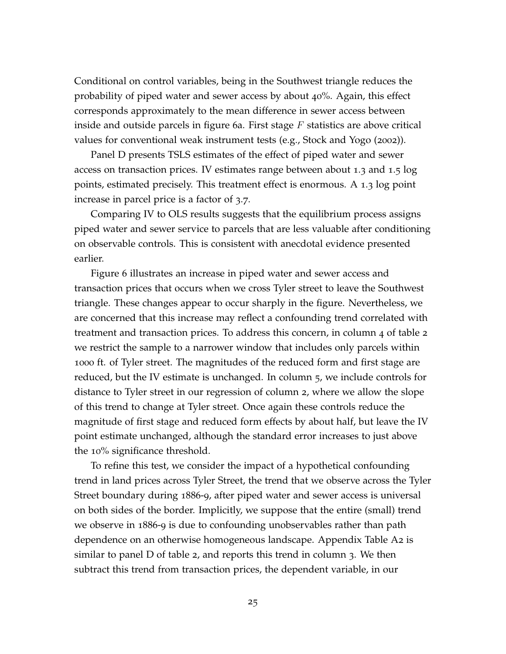Conditional on control variables, being in the Southwest triangle reduces the probability of piped water and sewer access by about 40%. Again, this effect corresponds approximately to the mean difference in sewer access between inside and outside parcels in figure [6](#page-21-0)a. First stage  $F$  statistics are above critical values for conventional weak instrument tests (e.g., [Stock and Yogo](#page-42-9) ([2002](#page-42-9))).

Panel D presents TSLS estimates of the effect of piped water and sewer access on transaction prices. IV estimates range between about 1.3 and 1.5 log points, estimated precisely. This treatment effect is enormous. A 1.3 log point increase in parcel price is a factor of 3.7.

Comparing IV to OLS results suggests that the equilibrium process assigns piped water and sewer service to parcels that are less valuable after conditioning on observable controls. This is consistent with anecdotal evidence presented earlier.

Figure [6](#page-21-0) illustrates an increase in piped water and sewer access and transaction prices that occurs when we cross Tyler street to leave the Southwest triangle. These changes appear to occur sharply in the figure. Nevertheless, we are concerned that this increase may reflect a confounding trend correlated with treatment and transaction prices. To address this concern, in column 4 of table [2](#page-23-0) we restrict the sample to a narrower window that includes only parcels within 1000 ft. of Tyler street. The magnitudes of the reduced form and first stage are reduced, but the IV estimate is unchanged. In column 5, we include controls for distance to Tyler street in our regression of column 2, where we allow the slope of this trend to change at Tyler street. Once again these controls reduce the magnitude of first stage and reduced form effects by about half, but leave the IV point estimate unchanged, although the standard error increases to just above the 10% significance threshold.

To refine this test, we consider the impact of a hypothetical confounding trend in land prices across Tyler Street, the trend that we observe across the Tyler Street boundary during 1886-9, after piped water and sewer access is universal on both sides of the border. Implicitly, we suppose that the entire (small) trend we observe in 1886-9 is due to confounding unobservables rather than path dependence on an otherwise homogeneous landscape. Appendix Table [A](#page-23-0)2 is similar to panel D of table [2](#page-23-0), and reports this trend in column 3. We then subtract this trend from transaction prices, the dependent variable, in our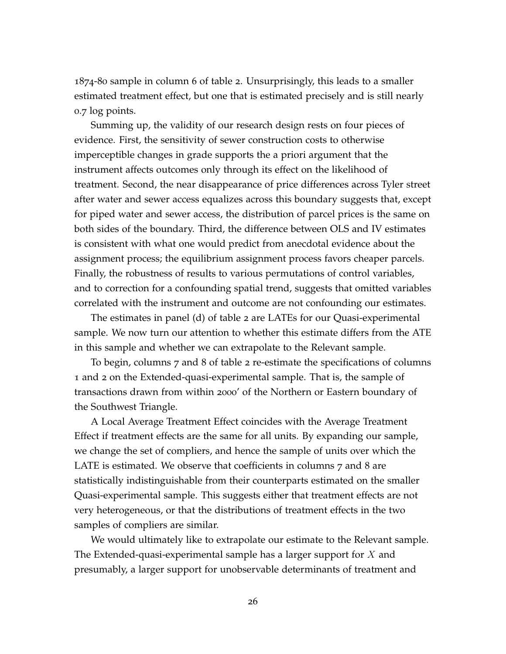1874-80 sample in column 6 of table [2](#page-23-0). Unsurprisingly, this leads to a smaller estimated treatment effect, but one that is estimated precisely and is still nearly 0.7 log points.

Summing up, the validity of our research design rests on four pieces of evidence. First, the sensitivity of sewer construction costs to otherwise imperceptible changes in grade supports the a priori argument that the instrument affects outcomes only through its effect on the likelihood of treatment. Second, the near disappearance of price differences across Tyler street after water and sewer access equalizes across this boundary suggests that, except for piped water and sewer access, the distribution of parcel prices is the same on both sides of the boundary. Third, the difference between OLS and IV estimates is consistent with what one would predict from anecdotal evidence about the assignment process; the equilibrium assignment process favors cheaper parcels. Finally, the robustness of results to various permutations of control variables, and to correction for a confounding spatial trend, suggests that omitted variables correlated with the instrument and outcome are not confounding our estimates.

The estimates in panel (d) of table [2](#page-23-0) are LATEs for our Quasi-experimental sample. We now turn our attention to whether this estimate differs from the ATE in this sample and whether we can extrapolate to the Relevant sample.

To begin, columns 7 and 8 of table [2](#page-23-0) re-estimate the specifications of columns 1 and 2 on the Extended-quasi-experimental sample. That is, the sample of transactions drawn from within 2000' of the Northern or Eastern boundary of the Southwest Triangle.

A Local Average Treatment Effect coincides with the Average Treatment Effect if treatment effects are the same for all units. By expanding our sample, we change the set of compliers, and hence the sample of units over which the LATE is estimated. We observe that coefficients in columns 7 and 8 are statistically indistinguishable from their counterparts estimated on the smaller Quasi-experimental sample. This suggests either that treatment effects are not very heterogeneous, or that the distributions of treatment effects in the two samples of compliers are similar.

We would ultimately like to extrapolate our estimate to the Relevant sample. The Extended-quasi-experimental sample has a larger support for  $X$  and presumably, a larger support for unobservable determinants of treatment and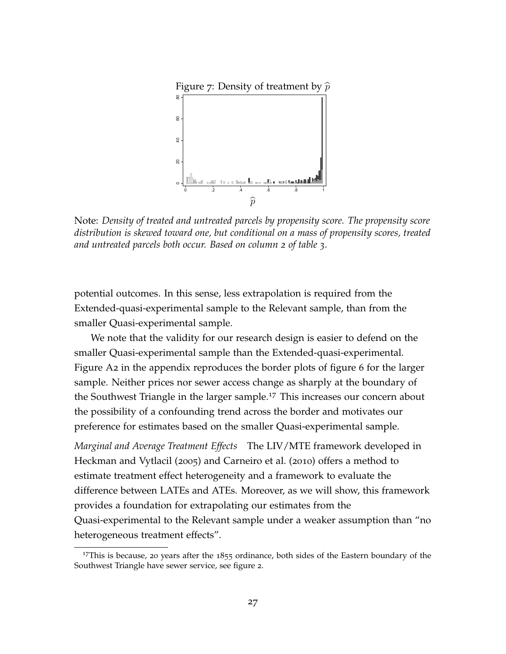<span id="page-27-1"></span>

Note: *Density of treated and untreated parcels by propensity score. The propensity score distribution is skewed toward one, but conditional on a mass of propensity scores, treated and untreated parcels both occur. Based on column 2 of table [3](#page-28-0).*

potential outcomes. In this sense, less extrapolation is required from the Extended-quasi-experimental sample to the Relevant sample, than from the smaller Quasi-experimental sample.

We note that the validity for our research design is easier to defend on the smaller Quasi-experimental sample than the Extended-quasi-experimental. Figure [A](#page-9-1)2 in the appendix reproduces the border plots of figure [6](#page-21-0) for the larger sample. Neither prices nor sewer access change as sharply at the boundary of the Southwest Triangle in the larger sample.<sup>[17](#page-27-0)</sup> This increases our concern about the possibility of a confounding trend across the border and motivates our preference for estimates based on the smaller Quasi-experimental sample.

*Marginal and Average Treatment Effects* The LIV/MTE framework developed in [Heckman and Vytlacil](#page-41-8) ([2005](#page-41-8)) and [Carneiro et al.](#page-40-7) ([2010](#page-40-7)) offers a method to estimate treatment effect heterogeneity and a framework to evaluate the difference between LATEs and ATEs. Moreover, as we will show, this framework provides a foundation for extrapolating our estimates from the Quasi-experimental to the Relevant sample under a weaker assumption than "no heterogeneous treatment effects".

<span id="page-27-0"></span> $17$ This is because, 20 years after the  $1855$  ordinance, both sides of the Eastern boundary of the Southwest Triangle have sewer service, see figure [2](#page-9-1).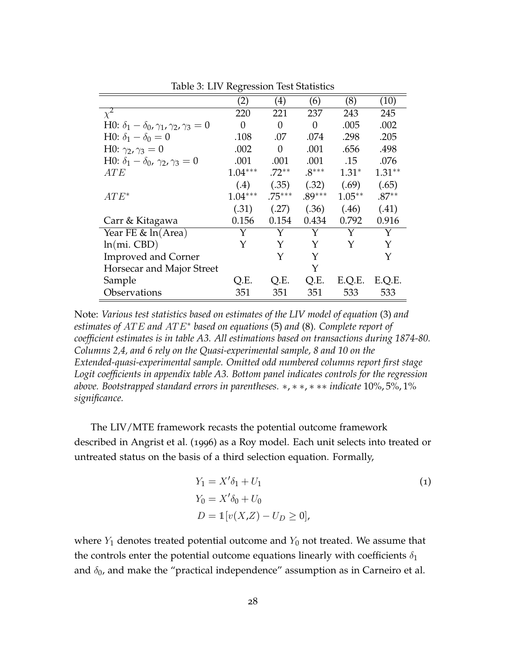<span id="page-28-0"></span>

|                                                                      | (2)       | $\left( 4\right)$ | (6)      | (8)       | (10)     |
|----------------------------------------------------------------------|-----------|-------------------|----------|-----------|----------|
| $\chi^2$                                                             | 220       | 221               | 237      | 243       | 245      |
| H0: $\delta_1 - \delta_0$ , $\gamma_1$ , $\gamma_2$ , $\gamma_3 = 0$ | 0         | 0                 | 0        | .005      | .002     |
| H0: $\delta_1 - \delta_0 = 0$                                        | .108      | .07               | .074     | .298      | .205     |
| H0: $\gamma_2, \gamma_3 = 0$                                         | .002      | $\theta$          | .001     | .656      | .498     |
| H0: $\delta_1 - \delta_0$ , $\gamma_2$ , $\gamma_3 = 0$              | .001      | .001              | .001     | .15       | .076     |
| ATE                                                                  | $1.04***$ | $.72**$           | $.8***$  | $1.31*$   | $1.31**$ |
|                                                                      | (.4)      | (.35)             | (.32)    | (.69)     | (.65)    |
| $ATE^*$                                                              | $1.04***$ | $.75***$          | $.89***$ | $1.05***$ | $.87**$  |
|                                                                      | (.31)     | (.27)             | (.36)    | (.46)     | (.41)    |
| Carr & Kitagawa                                                      | 0.156     | 0.154             | 0.434    | 0.792     | 0.916    |
| Year FE $\&$ ln(Area)                                                |           | Y                 | Y        | Y         | Y        |
| $ln(mi.$ CBD $)$                                                     | Y         | Y                 | Y        | Y         | Y        |
| <b>Improved and Corner</b>                                           |           | Y                 | Y        |           | Y        |
| Horsecar and Major Street                                            |           |                   | Y        |           |          |
| Sample                                                               | Q.E.      | O.E.              | Q.E.     | E.Q.E.    | E.Q.E.   |
| Observations                                                         | 351       | 351               | 351      | 533       | 533      |

Table 3: LIV Regression Test Statistics

Note: *Various test statistics based on estimates of the LIV model of equation* [\(3\)](#page-29-0) *and estimates of* AT E *and* AT E<sup>∗</sup> *based on equations* [\(5\)](#page-30-0) *and* [\(8\)](#page-34-0)*. Complete report of coefficient estimates is in table [A3.](#page-28-0) All estimations based on transactions during 1874-80. Columns 2,4, and 6 rely on the Quasi-experimental sample, 8 and 10 on the Extended-quasi-experimental sample. Omitted odd numbered columns report first stage Logit coefficients in appendix table [A3.](#page-28-0) Bottom panel indicates controls for the regression above. Bootstrapped standard errors in parentheses.* ∗, ∗ ∗, ∗ ∗∗ *indicate* 10%, 5%, 1% *significance.*

The LIV/MTE framework recasts the potential outcome framework described in [Angrist et al.](#page-39-11) ([1996](#page-39-11)) as a Roy model. Each unit selects into treated or untreated status on the basis of a third selection equation. Formally,

<span id="page-28-1"></span>
$$
Y_1 = X'\delta_1 + U_1
$$
  
\n
$$
Y_0 = X'\delta_0 + U_0
$$
  
\n
$$
D = 1[v(X,Z) - U_D \ge 0],
$$
  
\n(1)

where  $Y_1$  denotes treated potential outcome and  $Y_0$  not treated. We assume that the controls enter the potential outcome equations linearly with coefficients  $\delta_1$ and  $\delta_0$ , and make the "practical independence" assumption as in [Carneiro et al.](#page-40-7)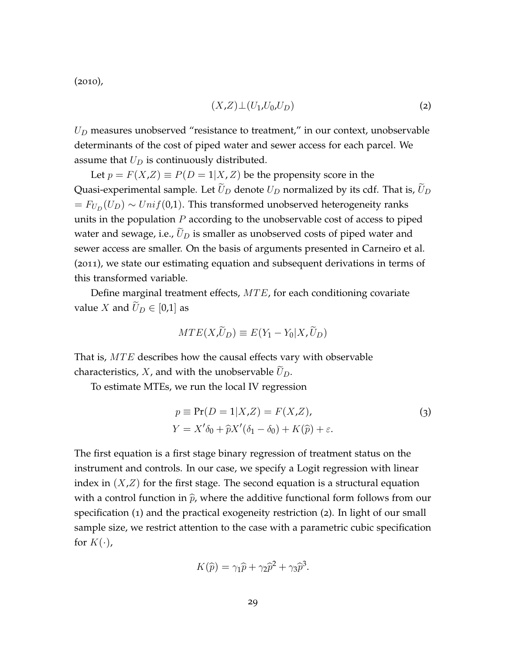$(2010)$  $(2010)$  $(2010)$ ,

<span id="page-29-1"></span>
$$
(X,Z)\perp (U_1,U_0,U_D) \tag{2}
$$

 $U_D$  measures unobserved "resistance to treatment," in our context, unobservable determinants of the cost of piped water and sewer access for each parcel. We assume that  $U_D$  is continuously distributed.

Let  $p = F(X,Z) \equiv P(D = 1|X,Z)$  be the propensity score in the Quasi-experimental sample. Let  $\tilde{U}_D$  denote  $U_D$  normalized by its cdf. That is,  $\tilde{U}_D$  $= F_{U_D}(U_D) \sim Unif(0,1)$ . This transformed unobserved heterogeneity ranks units in the population  $P$  according to the unobservable cost of access to piped water and sewage, i.e.,  $U_D$  is smaller as unobserved costs of piped water and sewer access are smaller. On the basis of arguments presented in [Carneiro et al.](#page-40-1) ([2011](#page-40-1)), we state our estimating equation and subsequent derivations in terms of this transformed variable.

Define marginal treatment effects,  $MTE$ , for each conditioning covariate value X and  $U_D \in [0,1]$  as

$$
MTE(X,\tilde{U}_D) \equiv E(Y_1 - Y_0 | X, \tilde{U}_D)
$$

That is,  $MTE$  describes how the causal effects vary with observable characteristics,  $X$ , and with the unobservable  $U_D$ .

To estimate MTEs, we run the local IV regression

<span id="page-29-0"></span>
$$
p \equiv \Pr(D = 1 | X, Z) = F(X, Z),
$$
  
\n
$$
Y = X'\delta_0 + \hat{p}X'(\delta_1 - \delta_0) + K(\hat{p}) + \varepsilon.
$$
\n(3)

The first equation is a first stage binary regression of treatment status on the instrument and controls. In our case, we specify a Logit regression with linear index in  $(X,Z)$  for the first stage. The second equation is a structural equation with a control function in  $\hat{p}$ , where the additive functional form follows from our specification ([1](#page-28-1)) and the practical exogeneity restriction ([2](#page-29-1)). In light of our small sample size, we restrict attention to the case with a parametric cubic specification for  $K(\cdot)$ ,

$$
K(\widehat{p}) = \gamma_1 \widehat{p} + \gamma_2 \widehat{p}^2 + \gamma_3 \widehat{p}^3.
$$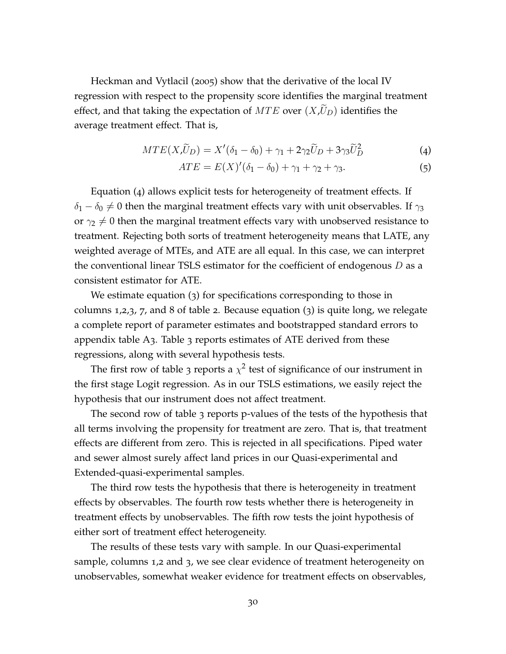[Heckman and Vytlacil](#page-41-8) ([2005](#page-41-8)) show that the derivative of the local IV regression with respect to the propensity score identifies the marginal treatment effect, and that taking the expectation of  $MTE$  over  $(X,U_D)$  identifies the average treatment effect. That is,

$$
MTE(X,\widetilde{U}_D) = X'(\delta_1 - \delta_0) + \gamma_1 + 2\gamma_2 \widetilde{U}_D + 3\gamma_3 \widetilde{U}_D^2
$$
\n(4)

<span id="page-30-1"></span><span id="page-30-0"></span>
$$
ATE = E(X)'(\delta_1 - \delta_0) + \gamma_1 + \gamma_2 + \gamma_3. \tag{5}
$$

Equation ([4](#page-30-1)) allows explicit tests for heterogeneity of treatment effects. If  $\delta_1 - \delta_0 \neq 0$  then the marginal treatment effects vary with unit observables. If  $\gamma_3$ or  $\gamma_2 \neq 0$  then the marginal treatment effects vary with unobserved resistance to treatment. Rejecting both sorts of treatment heterogeneity means that LATE, any weighted average of MTEs, and ATE are all equal. In this case, we can interpret the conventional linear TSLS estimator for the coefficient of endogenous  $D$  as a consistent estimator for ATE.

We estimate equation ([3](#page-29-0)) for specifications corresponding to those in columns 1,2,3, 7, and 8 of table [2](#page-23-0). Because equation ([3](#page-29-0)) is quite long, we relegate a complete report of parameter estimates and bootstrapped standard errors to appendix table [A](#page-28-0)3. Table [3](#page-28-0) reports estimates of ATE derived from these regressions, along with several hypothesis tests.

The first row of table [3](#page-28-0) reports a  $\chi^2$  test of significance of our instrument in the first stage Logit regression. As in our TSLS estimations, we easily reject the hypothesis that our instrument does not affect treatment.

The second row of table [3](#page-28-0) reports p-values of the tests of the hypothesis that all terms involving the propensity for treatment are zero. That is, that treatment effects are different from zero. This is rejected in all specifications. Piped water and sewer almost surely affect land prices in our Quasi-experimental and Extended-quasi-experimental samples.

The third row tests the hypothesis that there is heterogeneity in treatment effects by observables. The fourth row tests whether there is heterogeneity in treatment effects by unobservables. The fifth row tests the joint hypothesis of either sort of treatment effect heterogeneity.

The results of these tests vary with sample. In our Quasi-experimental sample, columns 1,2 and 3, we see clear evidence of treatment heterogeneity on unobservables, somewhat weaker evidence for treatment effects on observables,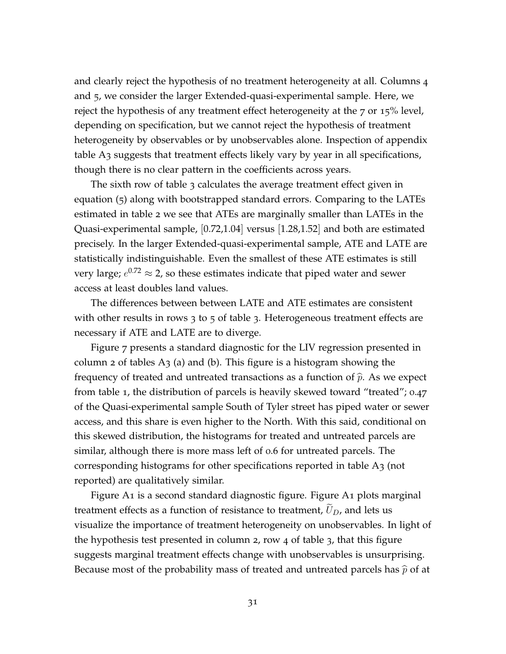and clearly reject the hypothesis of no treatment heterogeneity at all. Columns 4 and 5, we consider the larger Extended-quasi-experimental sample. Here, we reject the hypothesis of any treatment effect heterogeneity at the 7 or 15% level, depending on specification, but we cannot reject the hypothesis of treatment heterogeneity by observables or by unobservables alone. Inspection of appendix table [A](#page-28-0)3 suggests that treatment effects likely vary by year in all specifications, though there is no clear pattern in the coefficients across years.

The sixth row of table [3](#page-28-0) calculates the average treatment effect given in equation ([5](#page-30-0)) along with bootstrapped standard errors. Comparing to the LATEs estimated in table [2](#page-23-0) we see that ATEs are marginally smaller than LATEs in the Quasi-experimental sample, [0.72,1.04] versus [1.28,1.52] and both are estimated precisely. In the larger Extended-quasi-experimental sample, ATE and LATE are statistically indistinguishable. Even the smallest of these ATE estimates is still very large;  $e^{0.72} \approx$  2, so these estimates indicate that piped water and sewer access at least doubles land values.

The differences between between LATE and ATE estimates are consistent with other results in rows [3](#page-28-0) to 5 of table 3. Heterogeneous treatment effects are necessary if ATE and LATE are to diverge.

Figure [7](#page-27-1) presents a standard diagnostic for the LIV regression presented in column 2 of tables  $A_3$  (a) and (b). This figure is a histogram showing the frequency of treated and untreated transactions as a function of  $\hat{p}$ . As we expect from table [1](#page-18-0), the distribution of parcels is heavily skewed toward "treated"; 0.47 of the Quasi-experimental sample South of Tyler street has piped water or sewer access, and this share is even higher to the North. With this said, conditional on this skewed distribution, the histograms for treated and untreated parcels are similar, although there is more mass left of 0.6 for untreated parcels. The corresponding histograms for other specifications reported in table [A](#page-28-0)3 (not reported) are qualitatively similar.

Figure [A](#page-8-0)1 is a second standard diagnostic figure. Figure [A](#page-8-0)1 plots marginal treatment effects as a function of resistance to treatment,  $U_D$ , and lets us visualize the importance of treatment heterogeneity on unobservables. In light of the hypothesis test presented in column 2, row 4 of table [3](#page-28-0), that this figure suggests marginal treatment effects change with unobservables is unsurprising. Because most of the probability mass of treated and untreated parcels has  $\widehat{p}$  of at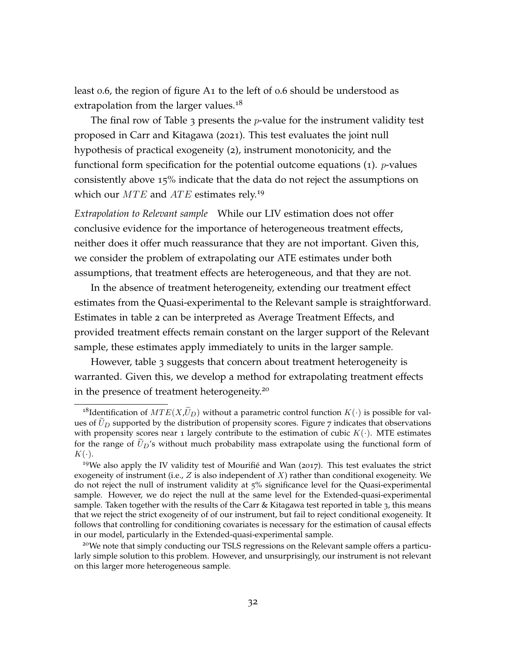least 0.6, the region of figure [A](#page-8-0)1 to the left of 0.6 should be understood as extrapolation from the larger values.<sup>[18](#page-32-0)</sup>

The final row of Table [3](#page-28-0) presents the  $p$ -value for the instrument validity test proposed in [Carr and Kitagawa](#page-40-12) ([2021](#page-40-12)). This test evaluates the joint null hypothesis of practical exogeneity ([2](#page-29-1)), instrument monotonicity, and the functional form specification for the potential outcome equations  $(1)$  $(1)$  $(1)$ . *p*-values consistently above 15% indicate that the data do not reject the assumptions on which our  $MTE$  and  $ATE$  estimates rely.<sup>[19](#page-32-1)</sup>

*Extrapolation to Relevant sample* While our LIV estimation does not offer conclusive evidence for the importance of heterogeneous treatment effects, neither does it offer much reassurance that they are not important. Given this, we consider the problem of extrapolating our ATE estimates under both assumptions, that treatment effects are heterogeneous, and that they are not.

In the absence of treatment heterogeneity, extending our treatment effect estimates from the Quasi-experimental to the Relevant sample is straightforward. Estimates in table [2](#page-23-0) can be interpreted as Average Treatment Effects, and provided treatment effects remain constant on the larger support of the Relevant sample, these estimates apply immediately to units in the larger sample.

However, table [3](#page-28-0) suggests that concern about treatment heterogeneity is warranted. Given this, we develop a method for extrapolating treatment effects in the presence of treatment heterogeneity.[20](#page-32-2)

<span id="page-32-0"></span><sup>&</sup>lt;sup>18</sup>Identification of  $MTE(X,\widetilde{U}_D)$  without a parametric control function  $K(\cdot)$  is possible for values of  $\tilde{U}_D$  supported by the distribution of propensity scores. Figure [7](#page-27-1) indicates that observations with propensity scores near 1 largely contribute to the estimation of cubic  $K(\cdot)$ . MTE estimates for the range of  $\bar{U}_D$ 's without much probability mass extrapolate using the functional form of  $K(\cdot).$ 

<span id="page-32-1"></span> $19$ We also apply the IV validity test of [Mourifié and Wan](#page-42-10) ([2017](#page-42-10)). This test evaluates the strict exogeneity of instrument (i.e.,  $Z$  is also independent of  $X$ ) rather than conditional exogeneity. We do not reject the null of instrument validity at 5% significance level for the Quasi-experimental sample. However, we do reject the null at the same level for the Extended-quasi-experimental sample. Taken together with the results of the Carr & Kitagawa test reported in table [3](#page-28-0), this means that we reject the strict exogeneity of of our instrument, but fail to reject conditional exogeneity. It follows that controlling for conditioning covariates is necessary for the estimation of causal effects in our model, particularly in the Extended-quasi-experimental sample.

<span id="page-32-2"></span><sup>&</sup>lt;sup>20</sup>We note that simply conducting our TSLS regressions on the Relevant sample offers a particularly simple solution to this problem. However, and unsurprisingly, our instrument is not relevant on this larger more heterogeneous sample.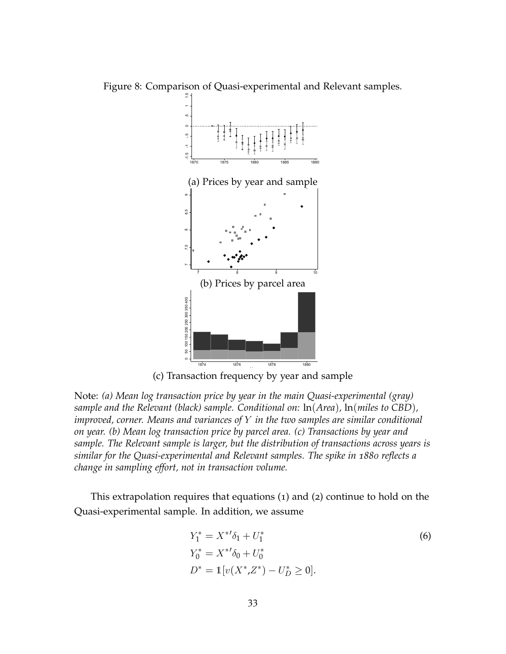<span id="page-33-1"></span>Figure 8: Comparison of Quasi-experimental and Relevant samples.



(c) Transaction frequency by year and sample

Note: *(a) Mean log transaction price by year in the main Quasi-experimental (gray) sample and the Relevant (black) sample. Conditional on:* ln(*Area*)*,* ln(*miles to CBD*)*, improved, corner. Means and variances of* Y *in the two samples are similar conditional on year. (b) Mean log transaction price by parcel area. (c) Transactions by year and sample. The Relevant sample is larger, but the distribution of transactions across years is similar for the Quasi-experimental and Relevant samples. The spike in 1880 reflects a change in sampling effort, not in transaction volume.*

This extrapolation requires that equations ([1](#page-28-1)) and ([2](#page-29-1)) continue to hold on the Quasi-experimental sample. In addition, we assume

<span id="page-33-0"></span>
$$
Y_1^* = X^{*'} \delta_1 + U_1^*
$$
  
\n
$$
Y_0^* = X^{*'} \delta_0 + U_0^*
$$
  
\n
$$
D^* = \mathbb{1}[v(X^*, Z^*) - U_D^* \ge 0].
$$
  
\n(6)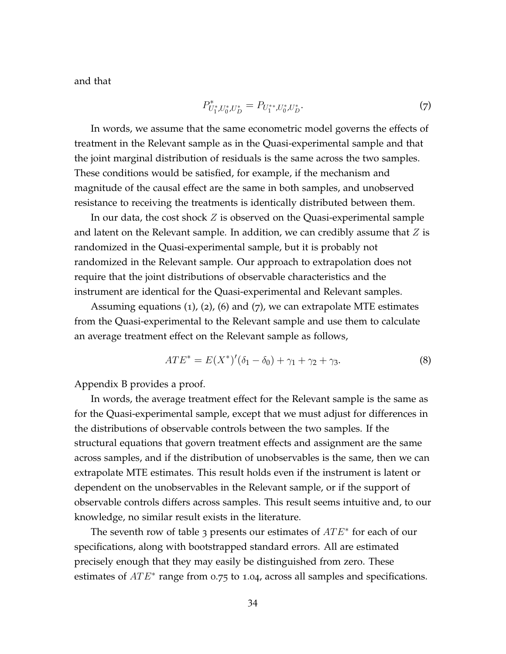and that

<span id="page-34-1"></span>
$$
P_{U_1^*U_0^*U_D^*}^* = P_{U_1^{**},U_0^*U_D^*}.
$$
\n<sup>(7)</sup>

In words, we assume that the same econometric model governs the effects of treatment in the Relevant sample as in the Quasi-experimental sample and that the joint marginal distribution of residuals is the same across the two samples. These conditions would be satisfied, for example, if the mechanism and magnitude of the causal effect are the same in both samples, and unobserved resistance to receiving the treatments is identically distributed between them.

In our data, the cost shock  $Z$  is observed on the Quasi-experimental sample and latent on the Relevant sample. In addition, we can credibly assume that  $Z$  is randomized in the Quasi-experimental sample, but it is probably not randomized in the Relevant sample. Our approach to extrapolation does not require that the joint distributions of observable characteristics and the instrument are identical for the Quasi-experimental and Relevant samples.

Assuming equations  $(1)$  $(1)$  $(1)$ ,  $(2)$  $(2)$  $(2)$ ,  $(6)$  $(6)$  $(6)$  and  $(7)$  $(7)$  $(7)$ , we can extrapolate MTE estimates from the Quasi-experimental to the Relevant sample and use them to calculate an average treatment effect on the Relevant sample as follows,

<span id="page-34-0"></span>
$$
ATE^* = E(X^*)'(\delta_1 - \delta_0) + \gamma_1 + \gamma_2 + \gamma_3. \tag{8}
$$

[Appendix B](#page-47-0) provides a proof.

In words, the average treatment effect for the Relevant sample is the same as for the Quasi-experimental sample, except that we must adjust for differences in the distributions of observable controls between the two samples. If the structural equations that govern treatment effects and assignment are the same across samples, and if the distribution of unobservables is the same, then we can extrapolate MTE estimates. This result holds even if the instrument is latent or dependent on the unobservables in the Relevant sample, or if the support of observable controls differs across samples. This result seems intuitive and, to our knowledge, no similar result exists in the literature.

The seventh row of table [3](#page-28-0) presents our estimates of  $ATE*$  for each of our specifications, along with bootstrapped standard errors. All are estimated precisely enough that they may easily be distinguished from zero. These estimates of  $ATE*$  range from 0.75 to 1.04, across all samples and specifications.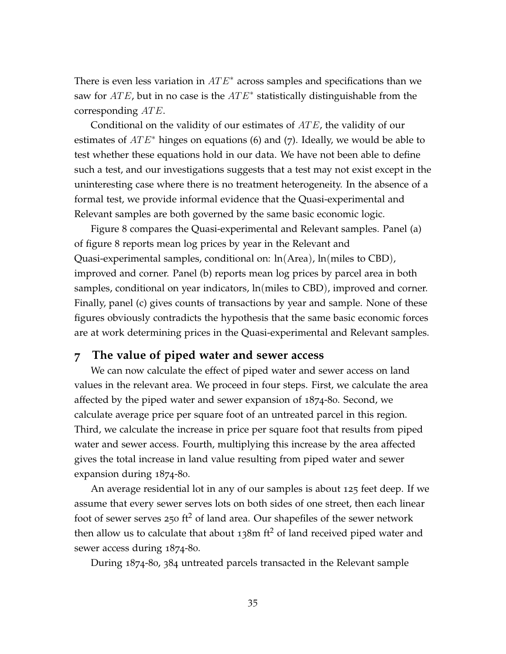There is even less variation in  $ATE*$  across samples and specifications than we saw for  $ATE$ , but in no case is the  $ATE^*$  statistically distinguishable from the corresponding  $ATE$ .

Conditional on the validity of our estimates of  $ATE$ , the validity of our estimates of  $ATE*$  hinges on equations ([6](#page-33-0)) and ([7](#page-34-1)). Ideally, we would be able to test whether these equations hold in our data. We have not been able to define such a test, and our investigations suggests that a test may not exist except in the uninteresting case where there is no treatment heterogeneity. In the absence of a formal test, we provide informal evidence that the Quasi-experimental and Relevant samples are both governed by the same basic economic logic.

Figure [8](#page-33-1) compares the Quasi-experimental and Relevant samples. Panel (a) of figure [8](#page-33-1) reports mean log prices by year in the Relevant and Quasi-experimental samples, conditional on: ln(Area), ln(miles to CBD), improved and corner. Panel (b) reports mean log prices by parcel area in both samples, conditional on year indicators, ln(miles to CBD), improved and corner. Finally, panel (c) gives counts of transactions by year and sample. None of these figures obviously contradicts the hypothesis that the same basic economic forces are at work determining prices in the Quasi-experimental and Relevant samples.

# **7 The value of piped water and sewer access**

We can now calculate the effect of piped water and sewer access on land values in the relevant area. We proceed in four steps. First, we calculate the area affected by the piped water and sewer expansion of 1874-80. Second, we calculate average price per square foot of an untreated parcel in this region. Third, we calculate the increase in price per square foot that results from piped water and sewer access. Fourth, multiplying this increase by the area affected gives the total increase in land value resulting from piped water and sewer expansion during 1874-80.

An average residential lot in any of our samples is about 125 feet deep. If we assume that every sewer serves lots on both sides of one street, then each linear foot of sewer serves 250 ft<sup>2</sup> of land area. Our shapefiles of the sewer network then allow us to calculate that about  $138m$  ft<sup>2</sup> of land received piped water and sewer access during 1874-80.

During 1874-80, 384 untreated parcels transacted in the Relevant sample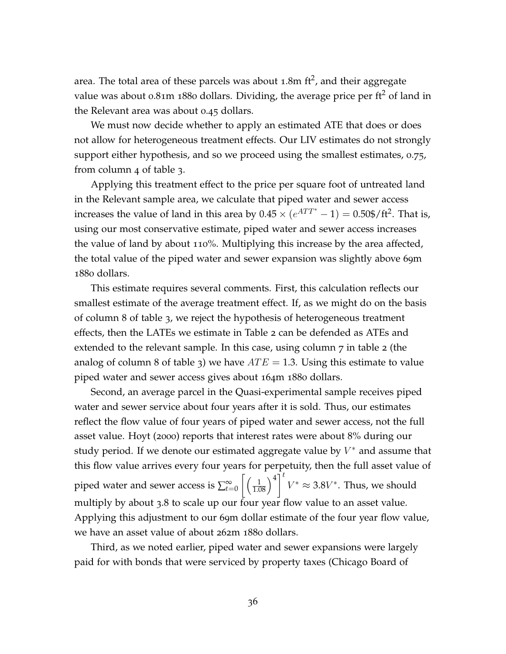area. The total area of these parcels was about 1.8m ft<sup>2</sup>, and their aggregate value was about 0.81m 1880 dollars. Dividing, the average price per  $\text{ft}^2$  of land in the Relevant area was about 0.45 dollars.

We must now decide whether to apply an estimated ATE that does or does not allow for heterogeneous treatment effects. Our LIV estimates do not strongly support either hypothesis, and so we proceed using the smallest estimates, 0.75, from column 4 of table [3](#page-28-0).

Applying this treatment effect to the price per square foot of untreated land in the Relevant sample area, we calculate that piped water and sewer access increases the value of land in this area by  $0.45 \times (e^{ATT^*} - 1) = 0.50\frac{\text{F}}{\text{F}^2}$ . That is, using our most conservative estimate, piped water and sewer access increases the value of land by about 110%. Multiplying this increase by the area affected, the total value of the piped water and sewer expansion was slightly above 69m 1880 dollars.

This estimate requires several comments. First, this calculation reflects our smallest estimate of the average treatment effect. If, as we might do on the basis of column 8 of table [3](#page-28-0), we reject the hypothesis of heterogeneous treatment effects, then the LATEs we estimate in Table [2](#page-23-0) can be defended as ATEs and extended to the relevant sample. In this case, using column 7 in table [2](#page-23-0) (the analog of column 8 of table [3](#page-28-0)) we have  $ATE = 1.3$ . Using this estimate to value piped water and sewer access gives about 164m 1880 dollars.

Second, an average parcel in the Quasi-experimental sample receives piped water and sewer service about four years after it is sold. Thus, our estimates reflect the flow value of four years of piped water and sewer access, not the full asset value. [Hoyt](#page-41-11) ([2000](#page-41-11)) reports that interest rates were about 8% during our study period. If we denote our estimated aggregate value by  $V^*$  and assume that this flow value arrives every four years for perpetuity, then the full asset value of piped water and sewer access is  $\sum_{t=0}^{\infty} \left[ \left( \frac{1}{1.08} \right)^4 \right]^t$  $V^* \approx 3.8V^*$ . Thus, we should multiply by about 3.8 to scale up our four year flow value to an asset value. Applying this adjustment to our 69m dollar estimate of the four year flow value, we have an asset value of about 262m 1880 dollars.

Third, as we noted earlier, piped water and sewer expansions were largely paid for with bonds that were serviced by property taxes [\(Chicago Board of](#page-40-13)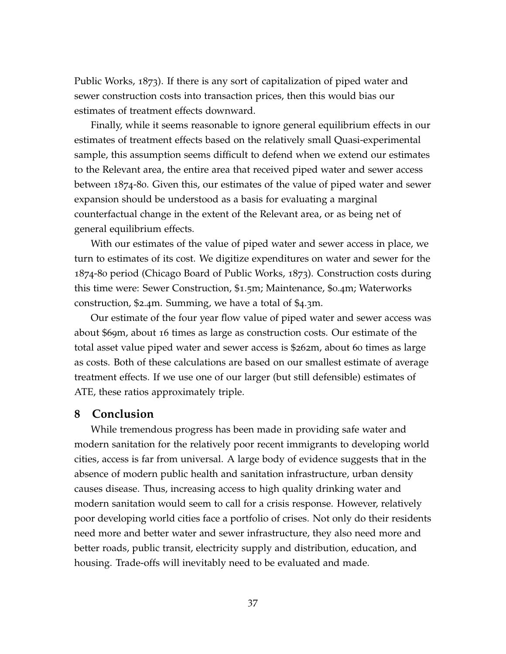[Public Works,](#page-40-13) [1873](#page-40-13)). If there is any sort of capitalization of piped water and sewer construction costs into transaction prices, then this would bias our estimates of treatment effects downward.

Finally, while it seems reasonable to ignore general equilibrium effects in our estimates of treatment effects based on the relatively small Quasi-experimental sample, this assumption seems difficult to defend when we extend our estimates to the Relevant area, the entire area that received piped water and sewer access between 1874-80. Given this, our estimates of the value of piped water and sewer expansion should be understood as a basis for evaluating a marginal counterfactual change in the extent of the Relevant area, or as being net of general equilibrium effects.

With our estimates of the value of piped water and sewer access in place, we turn to estimates of its cost. We digitize expenditures on water and sewer for the 1874-80 period [\(Chicago Board of Public Works,](#page-40-13) [1873](#page-40-13)). Construction costs during this time were: Sewer Construction, \$1.5m; Maintenance, \$0.4m; Waterworks construction, \$2.4m. Summing, we have a total of \$4.3m.

Our estimate of the four year flow value of piped water and sewer access was about \$69m, about 16 times as large as construction costs. Our estimate of the total asset value piped water and sewer access is \$262m, about 60 times as large as costs. Both of these calculations are based on our smallest estimate of average treatment effects. If we use one of our larger (but still defensible) estimates of ATE, these ratios approximately triple.

# **8 Conclusion**

While tremendous progress has been made in providing safe water and modern sanitation for the relatively poor recent immigrants to developing world cities, access is far from universal. A large body of evidence suggests that in the absence of modern public health and sanitation infrastructure, urban density causes disease. Thus, increasing access to high quality drinking water and modern sanitation would seem to call for a crisis response. However, relatively poor developing world cities face a portfolio of crises. Not only do their residents need more and better water and sewer infrastructure, they also need more and better roads, public transit, electricity supply and distribution, education, and housing. Trade-offs will inevitably need to be evaluated and made.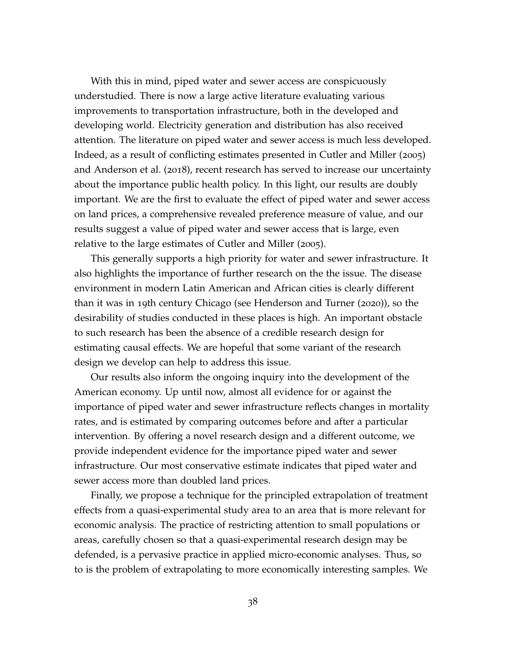With this in mind, piped water and sewer access are conspicuously understudied. There is now a large active literature evaluating various improvements to transportation infrastructure, both in the developed and developing world. Electricity generation and distribution has also received attention. The literature on piped water and sewer access is much less developed. Indeed, as a result of conflicting estimates presented in [Cutler and Miller](#page-40-0) ([2005](#page-40-0)) and [Anderson et al.](#page-39-1) ([2018](#page-39-1)), recent research has served to increase our uncertainty about the importance public health policy. In this light, our results are doubly important. We are the first to evaluate the effect of piped water and sewer access on land prices, a comprehensive revealed preference measure of value, and our results suggest a value of piped water and sewer access that is large, even relative to the large estimates of [Cutler and Miller](#page-40-0) ([2005](#page-40-0)).

This generally supports a high priority for water and sewer infrastructure. It also highlights the importance of further research on the the issue. The disease environment in modern Latin American and African cities is clearly different than it was in 19th century Chicago (see [Henderson and Turner](#page-41-13) ([2020](#page-41-13))), so the desirability of studies conducted in these places is high. An important obstacle to such research has been the absence of a credible research design for estimating causal effects. We are hopeful that some variant of the research design we develop can help to address this issue.

Our results also inform the ongoing inquiry into the development of the American economy. Up until now, almost all evidence for or against the importance of piped water and sewer infrastructure reflects changes in mortality rates, and is estimated by comparing outcomes before and after a particular intervention. By offering a novel research design and a different outcome, we provide independent evidence for the importance piped water and sewer infrastructure. Our most conservative estimate indicates that piped water and sewer access more than doubled land prices.

Finally, we propose a technique for the principled extrapolation of treatment effects from a quasi-experimental study area to an area that is more relevant for economic analysis. The practice of restricting attention to small populations or areas, carefully chosen so that a quasi-experimental research design may be defended, is a pervasive practice in applied micro-economic analyses. Thus, so to is the problem of extrapolating to more economically interesting samples. We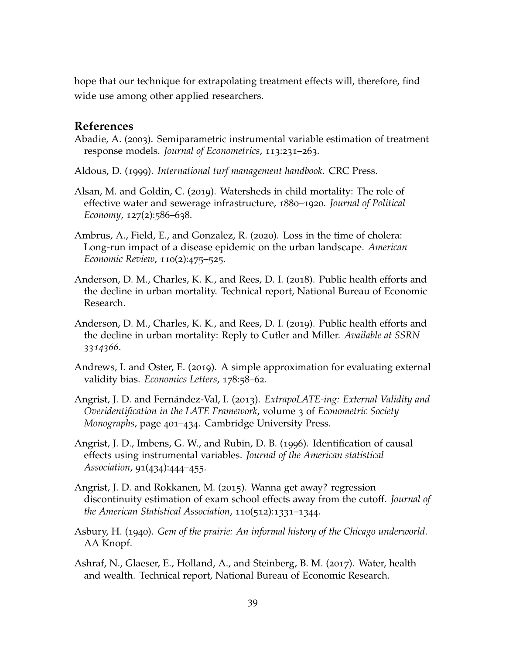hope that our technique for extrapolating treatment effects will, therefore, find wide use among other applied researchers.

# **References**

- <span id="page-39-10"></span>Abadie, A. (2003). Semiparametric instrumental variable estimation of treatment response models. *Journal of Econometrics*, 113:231–263.
- <span id="page-39-8"></span>Aldous, D. (1999). *International turf management handbook*. CRC Press.
- <span id="page-39-0"></span>Alsan, M. and Goldin, C. (2019). Watersheds in child mortality: The role of effective water and sewerage infrastructure, 1880–1920. *Journal of Political Economy*, 127(2):586–638.
- <span id="page-39-9"></span>Ambrus, A., Field, E., and Gonzalez, R. (2020). Loss in the time of cholera: Long-run impact of a disease epidemic on the urban landscape. *American Economic Review*, 110(2):475–525.
- <span id="page-39-1"></span>Anderson, D. M., Charles, K. K., and Rees, D. I. (2018). Public health efforts and the decline in urban mortality. Technical report, National Bureau of Economic Research.
- <span id="page-39-2"></span>Anderson, D. M., Charles, K. K., and Rees, D. I. (2019). Public health efforts and the decline in urban mortality: Reply to Cutler and Miller. *Available at SSRN 3314366*.
- <span id="page-39-5"></span>Andrews, I. and Oster, E. (2019). A simple approximation for evaluating external validity bias. *Economics Letters*, 178:58–62.
- <span id="page-39-4"></span>Angrist, J. D. and Fernández-Val, I. (2013). *ExtrapoLATE-ing: External Validity and Overidentification in the LATE Framework*, volume 3 of *Econometric Society Monographs*, page 401–434. Cambridge University Press.
- <span id="page-39-11"></span>Angrist, J. D., Imbens, G. W., and Rubin, D. B. (1996). Identification of causal effects using instrumental variables. *Journal of the American statistical Association*, 91(434):444–455.
- <span id="page-39-6"></span>Angrist, J. D. and Rokkanen, M. (2015). Wanna get away? regression discontinuity estimation of exam school effects away from the cutoff. *Journal of the American Statistical Association*, 110(512):1331–1344.
- <span id="page-39-7"></span>Asbury, H. (1940). *Gem of the prairie: An informal history of the Chicago underworld*. AA Knopf.
- <span id="page-39-3"></span>Ashraf, N., Glaeser, E., Holland, A., and Steinberg, B. M. (2017). Water, health and wealth. Technical report, National Bureau of Economic Research.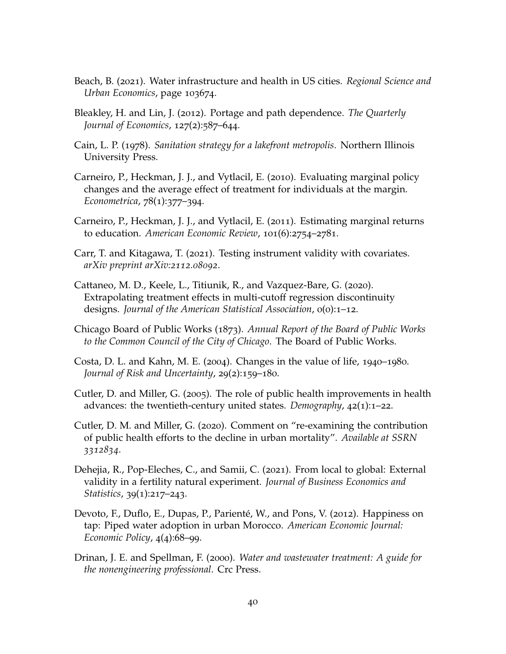- <span id="page-40-2"></span>Beach, B. (2021). Water infrastructure and health in US cities. *Regional Science and Urban Economics*, page 103674.
- <span id="page-40-11"></span>Bleakley, H. and Lin, J. (2012). Portage and path dependence. *The Quarterly Journal of Economics, 127(2):587–644.*
- <span id="page-40-10"></span>Cain, L. P. (1978). *Sanitation strategy for a lakefront metropolis*. Northern Illinois University Press.
- <span id="page-40-7"></span>Carneiro, P., Heckman, J. J., and Vytlacil, E. (2010). Evaluating marginal policy changes and the average effect of treatment for individuals at the margin. *Econometrica*, 78(1):377–394.
- <span id="page-40-1"></span>Carneiro, P., Heckman, J. J., and Vytlacil, E. (2011). Estimating marginal returns to education. *American Economic Review*, 101(6):2754–2781.
- <span id="page-40-12"></span>Carr, T. and Kitagawa, T. (2021). Testing instrument validity with covariates. *arXiv preprint arXiv:2112.08092*.
- <span id="page-40-9"></span>Cattaneo, M. D., Keele, L., Titiunik, R., and Vazquez-Bare, G. (2020). Extrapolating treatment effects in multi-cutoff regression discontinuity designs. *Journal of the American Statistical Association*, 0(0):1–12.
- <span id="page-40-13"></span>Chicago Board of Public Works (1873). *Annual Report of the Board of Public Works to the Common Council of the City of Chicago*. The Board of Public Works.
- <span id="page-40-4"></span>Costa, D. L. and Kahn, M. E. (2004). Changes in the value of life, 1940–1980. *Journal of Risk and Uncertainty*, 29(2):159–180.
- <span id="page-40-0"></span>Cutler, D. and Miller, G. (2005). The role of public health improvements in health advances: the twentieth-century united states. *Demography*, 42(1):1–22.
- <span id="page-40-5"></span>Cutler, D. M. and Miller, G. (2020). Comment on "re-examining the contribution of public health efforts to the decline in urban mortality". *Available at SSRN 3312834*.
- <span id="page-40-8"></span>Dehejia, R., Pop-Eleches, C., and Samii, C. (2021). From local to global: External validity in a fertility natural experiment. *Journal of Business Economics and Statistics*, 39(1):217–243.
- <span id="page-40-6"></span>Devoto, F., Duflo, E., Dupas, P., Parienté, W., and Pons, V. (2012). Happiness on tap: Piped water adoption in urban Morocco. *American Economic Journal: Economic Policy*, 4(4):68–99.
- <span id="page-40-3"></span>Drinan, J. E. and Spellman, F. (2000). *Water and wastewater treatment: A guide for the nonengineering professional*. Crc Press.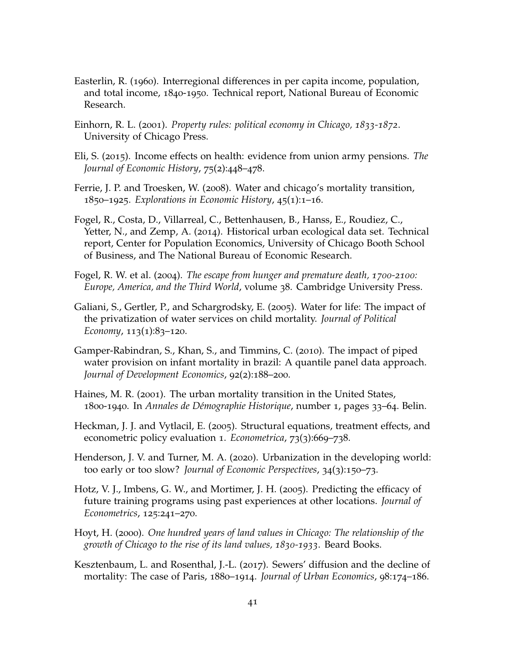- <span id="page-41-12"></span>Easterlin, R. (1960). Interregional differences in per capita income, population, and total income, 1840-1950. Technical report, National Bureau of Economic Research.
- <span id="page-41-7"></span>Einhorn, R. L. (2001). *Property rules: political economy in Chicago, 1833-1872*. University of Chicago Press.
- <span id="page-41-4"></span>Eli, S. (2015). Income effects on health: evidence from union army pensions. *The Journal of Economic History*, 75(2):448–478.
- <span id="page-41-0"></span>Ferrie, J. P. and Troesken, W. (2008). Water and chicago's mortality transition, 1850–1925. *Explorations in Economic History*, 45(1):1–16.
- <span id="page-41-10"></span>Fogel, R., Costa, D., Villarreal, C., Bettenhausen, B., Hanss, E., Roudiez, C., Yetter, N., and Zemp, A. (2014). Historical urban ecological data set. Technical report, Center for Population Economics, University of Chicago Booth School of Business, and The National Bureau of Economic Research.
- <span id="page-41-3"></span>Fogel, R. W. et al. (2004). *The escape from hunger and premature death, 1700-2100: Europe, America, and the Third World*, volume 38. Cambridge University Press.
- <span id="page-41-5"></span>Galiani, S., Gertler, P., and Schargrodsky, E. (2005). Water for life: The impact of the privatization of water services on child mortality. *Journal of Political Economy*, 113(1):83-120.
- <span id="page-41-6"></span>Gamper-Rabindran, S., Khan, S., and Timmins, C. (2010). The impact of piped water provision on infant mortality in brazil: A quantile panel data approach. *Journal of Development Economics*, 92(2):188–200.
- <span id="page-41-2"></span>Haines, M. R. (2001). The urban mortality transition in the United States, 1800-1940. In *Annales de Démographie Historique*, number 1, pages 33–64. Belin.
- <span id="page-41-8"></span>Heckman, J. J. and Vytlacil, E. (2005). Structural equations, treatment effects, and econometric policy evaluation 1. *Econometrica*, 73(3):669–738.
- <span id="page-41-13"></span>Henderson, J. V. and Turner, M. A. (2020). Urbanization in the developing world: too early or too slow? *Journal of Economic Perspectives*, 34(3):150–73.
- <span id="page-41-9"></span>Hotz, V. J., Imbens, G. W., and Mortimer, J. H. (2005). Predicting the efficacy of future training programs using past experiences at other locations. *Journal of Econometrics*, 125:241–270.
- <span id="page-41-11"></span>Hoyt, H. (2000). *One hundred years of land values in Chicago: The relationship of the growth of Chicago to the rise of its land values, 1830-1933*. Beard Books.
- <span id="page-41-1"></span>Kesztenbaum, L. and Rosenthal, J.-L. (2017). Sewers' diffusion and the decline of mortality: The case of Paris, 1880–1914. *Journal of Urban Economics*, 98:174–186.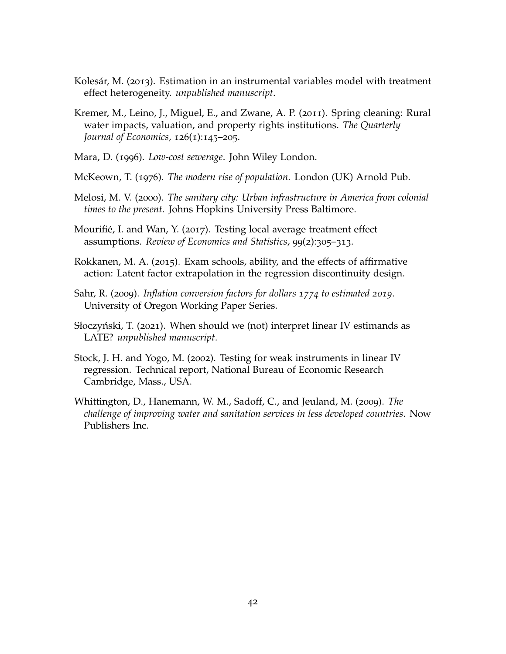- <span id="page-42-7"></span>Kolesár, M. (2013). Estimation in an instrumental variables model with treatment effect heterogeneity. *unpublished manuscript*.
- <span id="page-42-1"></span>Kremer, M., Leino, J., Miguel, E., and Zwane, A. P. (2011). Spring cleaning: Rural water impacts, valuation, and property rights institutions. *The Quarterly Journal of Economics*, 126(1):145–205.
- <span id="page-42-6"></span>Mara, D. (1996). *Low-cost sewerage*. John Wiley London.
- <span id="page-42-0"></span>McKeown, T. (1976). *The modern rise of population*. London (UK) Arnold Pub.
- <span id="page-42-4"></span>Melosi, M. V. (2000). *The sanitary city: Urban infrastructure in America from colonial times to the present*. Johns Hopkins University Press Baltimore.
- <span id="page-42-10"></span>Mourifié, I. and Wan, Y. (2017). Testing local average treatment effect assumptions. *Review of Economics and Statistics*, 99(2):305–313.
- <span id="page-42-3"></span>Rokkanen, M. A. (2015). Exam schools, ability, and the effects of affirmative action: Latent factor extrapolation in the regression discontinuity design.
- <span id="page-42-5"></span>Sahr, R. (2009). *Inflation conversion factors for dollars 1774 to estimated 2019*. University of Oregon Working Paper Series.
- <span id="page-42-8"></span>Słoczyński, T. (2021). When should we (not) interpret linear IV estimands as LATE? *unpublished manuscript*.
- <span id="page-42-9"></span>Stock, J. H. and Yogo, M. (2002). Testing for weak instruments in linear IV regression. Technical report, National Bureau of Economic Research Cambridge, Mass., USA.
- <span id="page-42-2"></span>Whittington, D., Hanemann, W. M., Sadoff, C., and Jeuland, M. (2009). *The challenge of improving water and sanitation services in less developed countries*. Now Publishers Inc.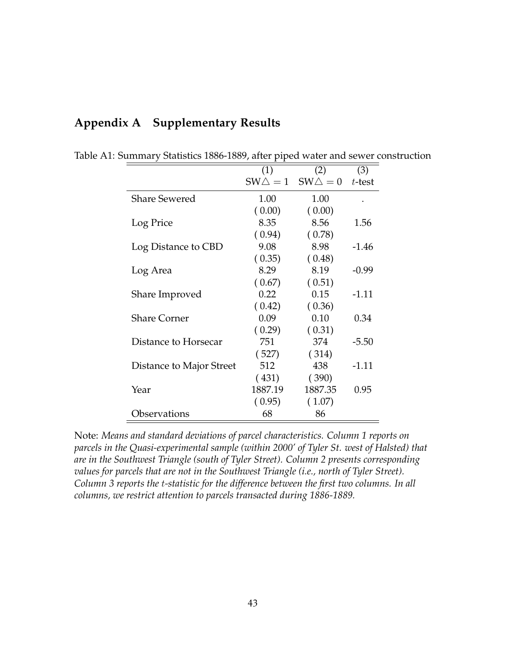|                          | (1)               | (2)               | (3)       |
|--------------------------|-------------------|-------------------|-----------|
|                          | $SW\triangle = 1$ | $SW\triangle = 0$ | $t$ -test |
| <b>Share Sewered</b>     | 1.00              | 1.00              |           |
|                          | (0.00)            | (0.00)            |           |
| Log Price                | 8.35              | 8.56              | 1.56      |
|                          | (0.94)            | (0.78)            |           |
| Log Distance to CBD      | 9.08              | 8.98              | $-1.46$   |
|                          | (0.35)            | (0.48)            |           |
| Log Area                 | 8.29              | 8.19              | $-0.99$   |
|                          | (0.67)            | (0.51)            |           |
| Share Improved           | 0.22              | 0.15              | $-1.11$   |
|                          | (0.42)            | (0.36)            |           |
| <b>Share Corner</b>      | 0.09              | 0.10              | 0.34      |
|                          | (0.29)            | (0.31)            |           |
| Distance to Horsecar     | 751               | 374               | $-5.50$   |
|                          | (527)             | (314)             |           |
| Distance to Major Street | 512               | 438               | $-1.11$   |
|                          | (431)             | (390)             |           |
| Year                     | 1887.19           | 1887.35           | 0.95      |
|                          | (0.95)            | (1.07)            |           |
| Observations             | 68                | 86                |           |

# **Appendix A Supplementary Results**

Table A1: Summary Statistics 1886-1889, after piped water and sewer construction

Note: *Means and standard deviations of parcel characteristics. Column 1 reports on parcels in the Quasi-experimental sample (within 2000' of Tyler St. west of Halsted) that are in the Southwest Triangle (south of Tyler Street). Column 2 presents corresponding values for parcels that are not in the Southwest Triangle (i.e., north of Tyler Street). Column 3 reports the* t*-statistic for the difference between the first two columns. In all columns, we restrict attention to parcels transacted during 1886-1889.*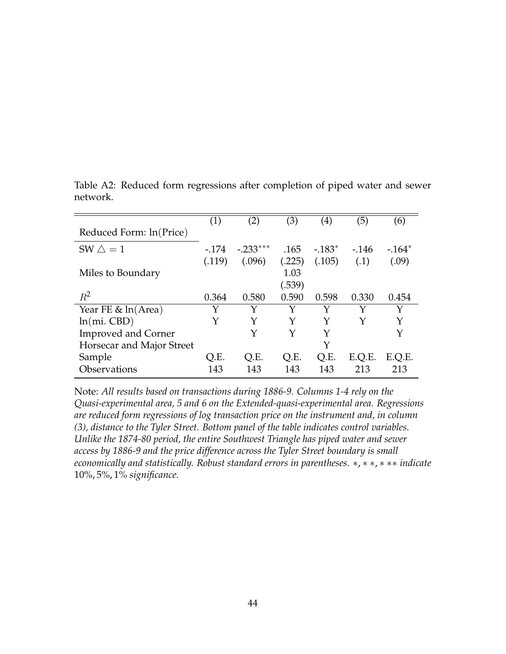|                            | (1)    | (2)        | (3)    | $\left( 4\right)$ | (5)    | (6)     |
|----------------------------|--------|------------|--------|-------------------|--------|---------|
| Reduced Form: ln(Price)    |        |            |        |                   |        |         |
| SW $\triangle = 1$         | $-174$ | $-.233***$ | .165   | $-183*$           | $-146$ | $-164*$ |
|                            | (.119) | (.096)     | (.225) | (.105)            | (.1)   | (.09)   |
| Miles to Boundary          |        |            | 1.03   |                   |        |         |
|                            |        |            | (.539) |                   |        |         |
| $R^2$                      | 0.364  | 0.580      | 0.590  | 0.598             | 0.330  | 0.454   |
| Year FE $\&$ ln(Area)      | Y      | Y          | Y      | Y                 | Y      | Y       |
| $ln(mi.$ CBD $)$           | Y      | Y          | Y      | Y                 | Y      | Y       |
| <b>Improved and Corner</b> |        | Y          | Y      | Y                 |        | Y       |
| Horsecar and Major Street  |        |            |        | Y                 |        |         |
| Sample                     | O.E.   | Q.E.       | Q.E.   | Q.E.              | E.Q.E. | E.Q.E.  |
| Observations               | 143    | 143        | 143    | 143               | 213    | 213     |

Table A2: Reduced form regressions after completion of piped water and sewer network.

Note: *All results based on transactions during 1886-9. Columns 1-4 rely on the Quasi-experimental area, 5 and 6 on the Extended-quasi-experimental area. Regressions are reduced form regressions of log transaction price on the instrument and, in column (3), distance to the Tyler Street. Bottom panel of the table indicates control variables. Unlike the 1874-80 period, the entire Southwest Triangle has piped water and sewer access by 1886-9 and the price difference across the Tyler Street boundary is small economically and statistically. Robust standard errors in parentheses.* ∗, ∗ ∗, ∗ ∗∗ *indicate* 10%, 5%, 1% *significance.*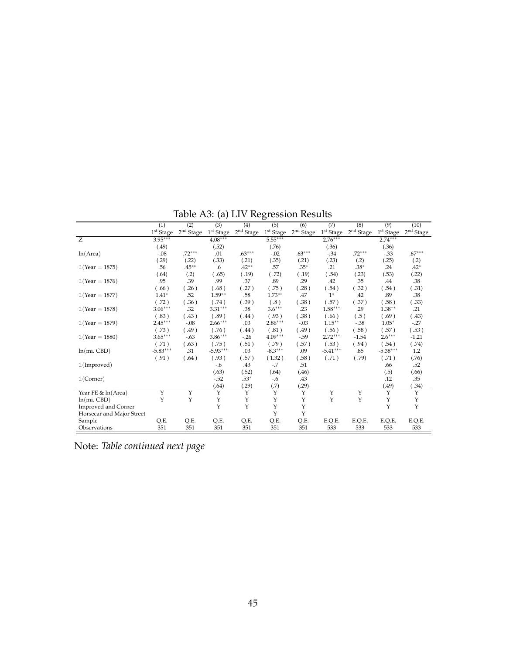|                            | (1)                | (2)                     | (3)                     | (4)         | (5)                     | (6)                   | (7)                   | (8)                   | (9)                     | (10)               |
|----------------------------|--------------------|-------------------------|-------------------------|-------------|-------------------------|-----------------------|-----------------------|-----------------------|-------------------------|--------------------|
|                            | $1^{\rm st}$ Stage | 2 <sup>nd</sup> Stage   | 1 <sup>st</sup> Stage   | $2nd$ Stage | 1 <sup>st</sup> Stage   | 2 <sup>nd</sup> Stage | 1 <sup>st</sup> Stage | 2 <sup>nd</sup> Stage | 1 <sup>st</sup> Stage   | $2^{\rm nd}$ Stage |
| $\overline{z}$             | $3.95***$          |                         | $4.08***$               |             | $5.55***$               |                       | $2.76***$             |                       | $2.74***$               |                    |
|                            | (.49)              |                         | (.52)                   |             | (.76)                   |                       | (.36)                 |                       | (.36)                   |                    |
| ln(Area)                   | $-.08$             | $.72***$                | .01                     | $.63***$    | $-.02$                  | $.63***$              | $-34$                 | $.72***$              | $-33$                   | $.67***$           |
|                            | (.29)              | (.22)                   | (.33)                   | (.21)       | (.35)                   | (.21)                 | (.23)                 | (.2)                  | (.25)                   | (.2)               |
| $1(Year = 1875)$           | .56                | $.45***$                | .6                      | $.42**$     | .57                     | $.35*$                | .21                   | $.38*$                | .24                     | $.42*$             |
|                            | (.64)              | (.2)                    | (.65)                   | (.19)       | (.72)                   | (.19)                 | (.54)                 | (.23)                 | (.53)                   | (.22)              |
| $1(Year = 1876)$           | .95                | .39                     | .99                     | .37         | .89                     | .29                   | .42                   | .35                   | .44                     | .38                |
|                            | (.66)              | .26)                    | (.68)                   | (.27)       | (.75)                   | (.28)                 | (.54)                 | (.32)                 | (.54)                   | (.31)              |
| $1(Year = 1877)$           | $1.41*$            | .52                     | $1.59**$                | .58         | $1.73**$                | .47                   | $1^*$                 | .42                   | .89                     | .38                |
|                            | (.72)              | .36)                    | (.74)                   | (.39)       | (.8)                    | (.38)                 | (.57)                 | (.37)                 | (.58)                   | (.33)              |
| $1(Year = 1878)$           | $3.06***$          | .32                     | $3.31***$               | .38         | $3.6***$                | .23                   | $1.58***$             | .29                   | $1.38**$                | .21                |
|                            | (.83)              | (.43)                   | (.89)                   | (.44)       | (.93)                   | (.38)                 | (.66)                 | (.5)                  | (.69)                   | (.43)              |
| $1(Year = 1879)$           | $2.45***$          | $-0.08$                 | $2.66***$               | .03         | $2.86***$               | $-.03$                | $1.15***$             | $-38$                 | $1.05*$                 | $-27$              |
|                            | (.73)              | (.49)                   | (.76)                   | (.44)       | (.81)                   | (.49)                 | (.56)                 | (.58)                 | (.57)                   | (.53)              |
| $1(Year = 1880)$           | $3.65***$          | $-.63$                  | $3.86***$               | $-26$       | $4.09***$               | $-59$                 | $2.72***$             | $-1.54$               | $2.6***$                | $-1.21$            |
|                            | (.71)              | (.63)                   | (.75)                   | (.51)       | (.79)                   | (.57)                 | (.53)                 | (.94)                 | (.54)                   | (.74)              |
| $ln(mi.$ $CBD)$            | $-5.83***$         | .31                     | $-5.93***$              | .03         | $-8.3***$               | .09                   | $-5.41***$            | .85                   | $-5.38***$              | 1.2                |
|                            | (.91)              | (.64)                   | (.93)                   | (.57)       | (1.32)                  | (.58)                 | (.71)                 | (.79)                 | (.71)                   | (.76)              |
| 1(Improved)                |                    |                         | -.6                     | .43         | $-.7$                   | .51                   |                       |                       | .66                     | .52                |
|                            |                    |                         | (.63)                   | (.52)       | (.64)                   | (.46)                 |                       |                       | (.5)                    | (.66)              |
| $1$ (Corner)               |                    |                         | $-.52$                  | $.53*$      | $-0.6$                  | .43                   |                       |                       | .12                     | .35                |
|                            |                    |                         | (.64)                   | (.29)       | (.7)                    | (.29)                 |                       |                       | (.49)                   | .34)               |
| Year FE & ln(Area)         | Y                  | $\overline{\mathbf{Y}}$ | $\overline{\mathsf{Y}}$ | Y           | $\overline{\mathsf{Y}}$ | Y                     | Y                     | Y                     | $\overline{\mathbf{Y}}$ | Y                  |
| $ln(mi.$ $CBD)$            | Υ                  | Υ                       | Υ                       | Υ           | Υ                       | Υ                     | Υ                     | Y                     | Y                       | Y                  |
| <b>Improved and Corner</b> |                    |                         | Y                       | Y           | Y                       | Y                     |                       |                       | Y                       | Y                  |
| Horsecar and Major Street  |                    |                         |                         |             | Y                       | Y                     |                       |                       |                         |                    |
| Sample                     | Q.E.               | Q.E.                    | Q.E.                    | Q.E.        | Q.E.                    | Q.E.                  | E.Q.E.                | E.Q.E.                | E.Q.E.                  | E.Q.E.             |
| Observations               | 351                | 351                     | 351                     | 351         | 351                     | 351                   | 533                   | 533                   | 533                     | 533                |

Table A3: (a) LIV Regression Results

Note: *Table continued next page*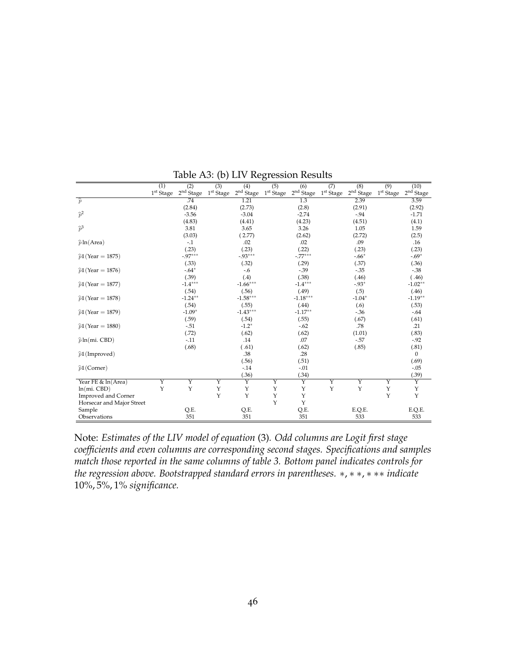|                            | (1)                | (2)                   | $\overline{(3)}$        | (4)                     | $\overline{(5)}$   | (6)                | (7)                | (8)                     | (9)                     | (10)               |
|----------------------------|--------------------|-----------------------|-------------------------|-------------------------|--------------------|--------------------|--------------------|-------------------------|-------------------------|--------------------|
|                            | $1^{\rm st}$ Stage | 2 <sup>nd</sup> Stage | $1^{\rm st}$ Stage      | 2 <sup>nd</sup> Stage   | $1^{\rm st}$ Stage | $2^{\rm nd}$ Stage | $1^{\rm st}$ Stage | 2 <sup>nd</sup> Stage   | 1 <sup>st</sup> Stage   | $2^{\rm nd}$ Stage |
| $\widehat{p}$              |                    | .74                   |                         | 1.21                    |                    | 1.3                |                    | 2.39                    |                         | 3.59               |
|                            |                    | (2.84)                |                         | (2.73)                  |                    | (2.8)              |                    | (2.91)                  |                         | (2.92)             |
| $\widehat{p}^2$            |                    | $-3.56$               |                         | $-3.04$                 |                    | $-2.74$            |                    | $-94$                   |                         | $-1.71$            |
|                            |                    | (4.83)                |                         | (4.41)                  |                    | (4.23)             |                    | (4.51)                  |                         | (4.1)              |
| $\widehat{p}^3$            |                    | 3.81                  |                         | 3.65                    |                    | 3.26               |                    | 1.05                    |                         | 1.59               |
|                            |                    | (3.03)                |                         | (2.77)                  |                    | (2.62)             |                    | (2.72)                  |                         | (2.5)              |
| $\hat{p}$ ln(Area)         |                    | $-1$                  |                         | .02                     |                    | .02                |                    | .09                     |                         | .16                |
|                            |                    | (.23)                 |                         | (.23)                   |                    | (.22)              |                    | (.23)                   |                         | (.23)              |
| $\hat{p}1$ (Year = 1875)   |                    | $-0.97***$            |                         | $-0.93***$              |                    | $-.77***$          |                    | $-.66*$                 |                         | $-.69*$            |
|                            |                    | (.33)                 |                         | (.32)                   |                    | (.29)              |                    | (.37)                   |                         | (.36)              |
| $\hat{p}1$ (Year = 1876)   |                    | $-.64*$               |                         | $-6$                    |                    | $-39$              |                    | $-.35$                  |                         | $-38$              |
|                            |                    | (.39)                 |                         | (.4)                    |                    | (.38)              |                    | (.46)                   |                         | (.46)              |
| $\hat{p}1$ (Year = 1877)   |                    | $-1.4***$             |                         | $-1.66***$              |                    | $-1.4***$          |                    | $-93*$                  |                         | $-1.02**$          |
|                            |                    | (.54)                 |                         | (.56)                   |                    | (.49)              |                    | (.5)                    |                         | (.46)              |
| $\hat{p}1$ (Year = 1878)   |                    | $-1.24***$            |                         | $-1.58***$              |                    | $-1.18***$         |                    | $-1.04*$                |                         | $-1.19**$          |
|                            |                    | (.54)                 |                         | (.55)                   |                    | (.44)              |                    | (.6)                    |                         | (.53)              |
| $\hat{p}1$ (Year = 1879)   |                    | $-1.09*$              |                         | $-1.43***$              |                    | $-1.17**$          |                    | $-0.36$                 |                         | $-.64$             |
|                            |                    | (.59)                 |                         | (.54)                   |                    | (.55)              |                    | (.67)                   |                         | (.61)              |
| $\hat{p}1$ (Year = 1880)   |                    | $-.51$                |                         | $-1.2*$                 |                    | $-.62$             |                    | .78                     |                         | .21                |
|                            |                    | (.72)                 |                         | (.62)                   |                    | (.62)              |                    | (1.01)                  |                         | (.83)              |
| $\hat{p}$ ln(mi. CBD)      |                    | $-.11$                |                         | .14                     |                    | .07                |                    | $-57$                   |                         | $-.92$             |
|                            |                    | (.68)                 |                         | (.61)                   |                    | (.62)              |                    | (.85)                   |                         | (.81)              |
| $\hat{p}$ 1(Improved)      |                    |                       |                         | .38                     |                    | .28                |                    |                         |                         | $\overline{0}$     |
|                            |                    |                       |                         | (.56)                   |                    | (.51)              |                    |                         |                         | (.69)              |
| $\hat{p}1$ (Corner)        |                    |                       |                         | $-.14$                  |                    | $-.01$             |                    |                         |                         | $-.05$             |
|                            |                    |                       |                         | (.36)                   |                    | (.34)              |                    |                         |                         | (.39)              |
| Year FE & ln(Area)         | Y                  | Y                     | $\overline{\mathbf{Y}}$ | $\overline{\mathbf{Y}}$ | Y                  | Y                  | Υ                  | $\overline{\mathbf{Y}}$ | $\overline{\mathbf{Y}}$ | Y                  |
| $ln(mi.$ $CBD)$            | $\mathbf{Y}$       | Y                     | Υ                       | Υ                       | Y                  | Υ                  | Y                  | $\mathbf Y$             | Y                       | Y                  |
| <b>Improved and Corner</b> |                    |                       | Υ                       | Υ                       | Υ                  | Υ                  |                    |                         | Y                       | Y                  |
| Horsecar and Major Street  |                    |                       |                         |                         | Υ                  | Y                  |                    |                         |                         |                    |
| Sample                     |                    | Q.E.                  |                         | Q.E.                    |                    | Q.E.               |                    | E.Q.E.                  |                         | E.Q.E.             |
| Observations               |                    | 351                   |                         | 351                     |                    | 351                |                    | 533                     |                         | 533                |

Table A3: (b) LIV Regression Results

Note: *Estimates of the LIV model of equation* [\(3\)](#page-29-0)*. Odd columns are Logit first stage coefficients and even columns are corresponding second stages. Specifications and samples match those reported in the same columns of table [3.](#page-28-0) Bottom panel indicates controls for the regression above. Bootstrapped standard errors in parentheses.* ∗, ∗ ∗, ∗ ∗∗ *indicate* 10%, 5%, 1% *significance.*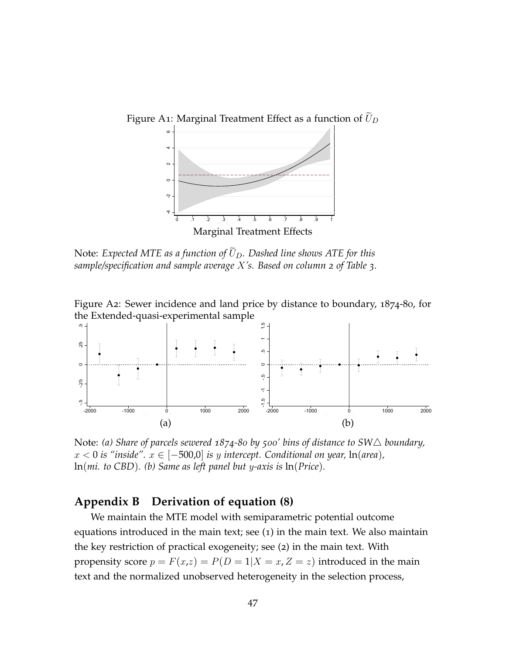

Note: *Expected MTE as a function of*  $\tilde{U}_D$ . Dashed line shows ATE for this *sample/specification and sample average* X*'s. Based on column 2 of Table [3](#page-28-0).*

Figure A2: Sewer incidence and land price by distance to boundary, 1874-80, for the Extended-quasi-experimental sample  $\,$ 



Note: (a) Share of parcels sewered  $1874$ -80 by 500' bins of distance to SW $\triangle$  boundary,  $x < 0$  *is "inside".*  $x \in [-500,0]$  *is y intercept. Conditional on year,* ln(*area*), ln(*mi. to CBD*)*. (b) Same as left panel but* y*-axis is* ln(*Price*)*.*

# <span id="page-47-0"></span>**Appendix B Derivation of equation ([8](#page-34-0))**

We maintain the MTE model with semiparametric potential outcome equations introduced in the main text; see ([1](#page-28-1)) in the main text. We also maintain the key restriction of practical exogeneity; see ([2](#page-29-1)) in the main text. With propensity score  $p = F(x,z) = P(D = 1|X = x, Z = z)$  introduced in the main text and the normalized unobserved heterogeneity in the selection process,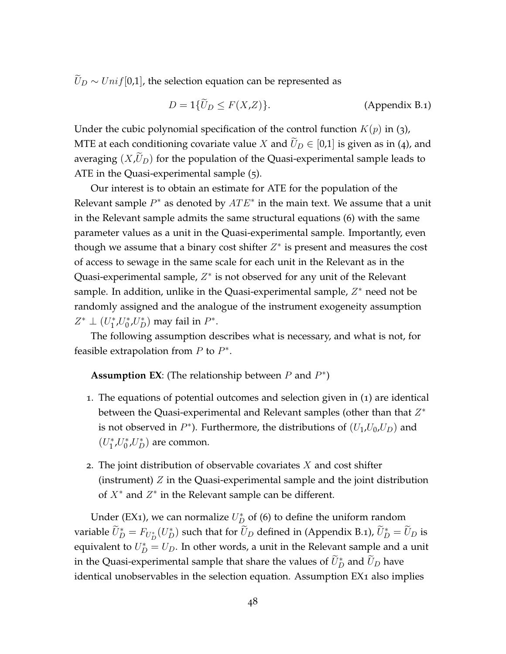$\widetilde{U}_D \sim Unif[0,1]$ , the selection equation can be represented as

<span id="page-48-1"></span>
$$
D = 1\{\widetilde{U}_D \le F(X, Z)\}.
$$
 (Appendix B.1)

Under the cubic polynomial specification of the control function  $K(p)$  in ([3](#page-29-0)), MTE at each conditioning covariate value X and  $\tilde{U}_D \in [0,1]$  is given as in ([4](#page-30-1)), and averaging  $(X,\bar{U}_D)$  for the population of the Quasi-experimental sample leads to ATE in the Quasi-experimental sample ([5](#page-30-0)).

Our interest is to obtain an estimate for ATE for the population of the Relevant sample  $P^*$  as denoted by  $ATE^*$  in the main text. We assume that a unit in the Relevant sample admits the same structural equations ([6](#page-33-0)) with the same parameter values as a unit in the Quasi-experimental sample. Importantly, even though we assume that a binary cost shifter  $Z^*$  is present and measures the cost of access to sewage in the same scale for each unit in the Relevant as in the Quasi-experimental sample,  $Z^*$  is not observed for any unit of the Relevant sample. In addition, unlike in the Quasi-experimental sample,  $Z^*$  need not be randomly assigned and the analogue of the instrument exogeneity assumption  $Z^* \perp (U_1^*$  $_{1}^{*}U_{0}^{*}$  $v_0^*$ , $U_D^*$ ) may fail in  $P^*$ .

The following assumption describes what is necessary, and what is not, for feasible extrapolation from  $P$  to  $P^*$ .

**Assumption EX**: (The relationship between  $P$  and  $P^*$ )

- <span id="page-48-0"></span>1. The equations of potential outcomes and selection given in ([1](#page-28-1)) are identical between the Quasi-experimental and Relevant samples (other than that  $Z^*$ is not observed in  $P^*$ ). Furthermore, the distributions of  $(U_1, U_0, U_D)$  and  $(U_1^*$  $i^*U_0^*$  $\binom{*}{0}$ , $U_D^*$ ) are common.
- 2. The joint distribution of observable covariates  $X$  and cost shifter (instrument)  $Z$  in the Quasi-experimental sample and the joint distribution of  $X^*$  and  $Z^*$  in the Relevant sample can be different.

Under (EX[1](#page-48-0)), we can normalize  $U_D^*$  of ([6](#page-33-0)) to define the uniform random variable  $\widetilde{U}^*_D=F_{U_D^*}(U_D^*)$  such that for  $\widetilde{U}_D$  defined in [\(Appendix B.](#page-48-1)1),  $\widetilde{U}_D^*=\widetilde{U}_D$  is equivalent to  $U_D^* = U_D$ . In other words, a unit in the Relevant sample and a unit in the Quasi-experimental sample that share the values of  $\widetilde{U}^*_D$  and  $\widetilde{U}_D$  have identical unobservables in the selection equation. Assumption EX[1](#page-48-0) also implies